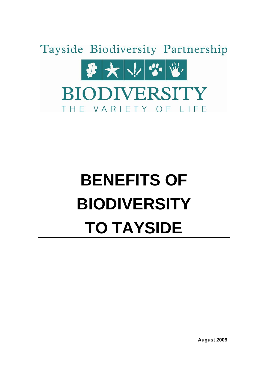

# **BENEFITS OF BIODIVERSITY TO TAYSIDE**

**August 2009**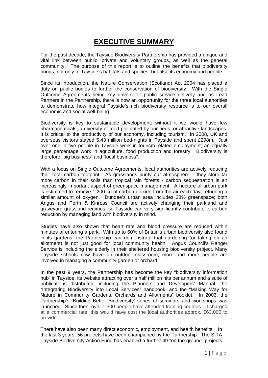# **EXECUTIVE SUMMARY**

For the past decade, the Tayside Biodiversity Partnership has provided a unique and vital link between public, private and voluntary groups, as well as the general community. The purpose of this report is to outline the benefits that biodiversity brings, not only to Tayside's habitats and species, but also its economy and people.

Since its introduction, the Nature Conservation (Scotland) Act 2004 has placed a duty on public bodies to further the conservation of biodiversity. With the Single Outcome Agreements being key drivers for public service delivery and as Lead Partners in the Partnership, there is now an opportunity for the three local authorities to demonstrate how integral Tayside's rich biodiversity resource is to our overall economic and social well-being.

Biodiversity is key to sustainable development: without it we would have few pharmaceuticals, a diversity of food pollinated by our bees, or attractive landscapes. It is critical to the productivity of our economy, including tourism. In 2008, UK and overseas visitors stayed 5.43 million bed-nights in Tayside and spent £298m. Just over one in five people in Tayside work in tourism-related employment; an equally large percentage work in agriculture, food production and forestry. Biodiversity is therefore "big business" and "local business".

With a focus on Single Outcome Agreements, local authorities are actively reducing their total carbon footprint. As grasslands purify our atmosphere – they store far more carbon in their soils than tropical rain forests - carbon sequestration is an increasingly important aspect of greenspace management. A hectare of urban park is estimated to remove 1,200 kg of carbon dioxide from the air each day, returning a similar amount of oxygen. Dundee's urban area includes 28% greenspace; both Angus and Perth & Kinross Council are actively changing their parkland and graveyard grassland regimes, so Tayside can very significantly contribute to carbon reduction by managing land with biodiversity in mind.

Studies have also shown that heart rate and blood pressure are reduced within minutes of entering a park. With up to 60% of Britain's urban biodiversity also found in its gardens, the Partnership can demonstrate that gardening (or taking on an allotment) is not just good for local community health. Angus Council's Ranger Service is including the elderly in their sheltered housing biodiversity project. Many Tayside schools now have an outdoor classroom; more and more people are involved in managing a community garden or orchard.

In the past 9 years, the Partnership has become the key "biodiversity information hub" in Tayside, its website attracting over a half million hits per annum and a suite of publications distributed, including the Planners and Developers' Manual, the "Integrating Biodiversity into Local Services" handbook, and the "Making Way for Nature in Community Gardens, Orchards and Allotments" booklet. In 2003, the Partnership's 'Building Better Biodiversity' series of seminars and workshops was launched. Since then, over 1,300 people have attended training courses. If charged at a commercial rate, this would have cost the local authorities approx. £63,000 to provide.

There have also been many direct economic, employment, and health benefits. In the last 3 years, 56 projects have been championed by the Partnership. The SITA Tayside Biodiversity Action Fund has enabled a further 49 "on the ground" projects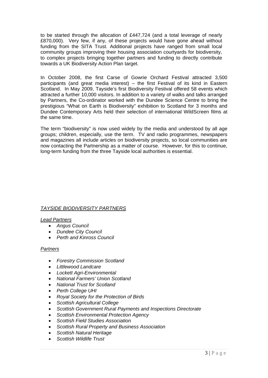to be started through the allocation of £447,724 (and a total leverage of nearly £870,000). Very few, if any, of these projects would have gone ahead without funding from the SITA Trust. Additional projects have ranged from small local community groups improving their housing association courtyards for biodiversity, to complex projects bringing together partners and funding to directly contribute towards a UK Biodiversity Action Plan target.

In October 2008, the first Carse of Gowrie Orchard Festival attracted 3,500 participants (and great media interest) – the first Festival of its kind in Eastern Scotland. In May 2009, Tayside's first Biodiversity Festival offered 58 events which attracted a further 10,000 visitors. In addition to a variety of walks and talks arranged by Partners, the Co-ordinator worked with the Dundee Science Centre to bring the prestigious "What on Earth is Biodiversity" exhibition to Scotland for 3 months and Dundee Contemporary Arts held their selection of international WildScreen films at the same time.

The term "biodiversity" is now used widely by the media and understood by all age groups; children, especially, use the term. TV and radio programmes, newspapers and magazines all include articles on biodiversity projects, so local communities are now contacting the Partnership as a matter of course. However, for this to continue, long-term funding from the three Tayside local authorities is essential.

#### *TAYSIDE BIODIVERSITY PARTNERS*

*Lead Partners*

- *Angus Council*
- *Dundee City Council*
- *Perth and Kinross Council*

#### *Partners*

- *Forestry Commission Scotland*
- *Littlewood Landcare*
- *Lockett Agri-Environmental*
- *National Farmers' Union Scotland*
- *National Trust for Scotland*
- *Perth College UHI*
- *Royal Society for the Protection of Birds*
- *Scottish Agricultural College*
- *Scottish Government Rural Payments and Inspections Directorate*
- *Scottish Environmental Protection Agency*
- *Scottish Field Studies Association*
- *Scottish Rural Property and Business Association*
- *Scottish Natural Heritage*
- *Scottish Wildlife Trust*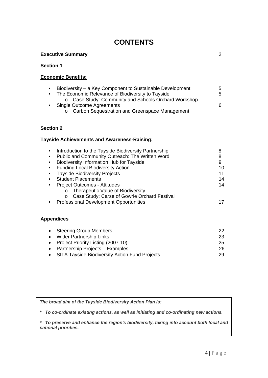# **CONTENTS**

#### **Executive Summary** 2

#### **Section 1**

#### **Economic Benefits:**

| $\bullet$ | Biodiversity – a Key Component to Sustainable Development | 5  |
|-----------|-----------------------------------------------------------|----|
|           | The Economic Relevance of Biodiversity to Tayside         | 5. |
|           | o Case Study: Community and Schools Orchard Workshop      |    |
|           | Single Outcome Agreements                                 | 6  |
|           | o Carbon Sequestration and Greenspace Management          |    |

#### **Section 2**

#### **Tayside Achievements and Awareness-Raising:**

| Introduction to the Tayside Biodiversity Partnership    | 8  |
|---------------------------------------------------------|----|
| Public and Community Outreach: The Written Word         | 8  |
| <b>Biodiversity Information Hub for Tayside</b>         | 9  |
| <b>Funding Local Biodiversity Action</b>                | 10 |
| <b>Tayside Biodiversity Projects</b>                    | 11 |
| <b>Student Placements</b>                               | 14 |
| <b>Project Outcomes - Attitudes</b>                     | 14 |
| Therapeutic Value of Biodiversity<br>O                  |    |
| Case Study: Carse of Gowrie Orchard Festival<br>$\circ$ |    |
| <b>Professional Development Opportunities</b>           |    |
|                                                         |    |
|                                                         |    |

### **Appendices**

| • Steering Group Members                         | 22 |
|--------------------------------------------------|----|
| • Wider Partnership Links                        | 23 |
| • Project Priority Listing (2007-10)             | 25 |
| • Partnership Projects – Examples                | 26 |
| • SITA Tayside Biodiversity Action Fund Projects | 29 |

*The broad aim of the Tayside Biodiversity Action Plan is:* 

*\* To co-ordinate existing actions, as well as initiating and co-ordinating new actions.* 

*\* To preserve and enhance the region's biodiversity, taking into account both local and national priorities.*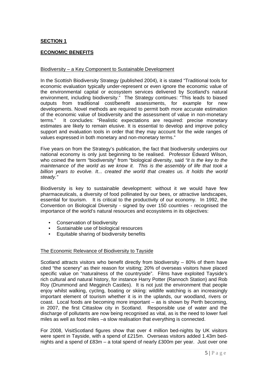#### **SECTION 1**

#### **ECONOMIC BENEFITS**

#### Biodiversity – a Key Component to Sustainable Development

In the Scottish Biodiversity Strategy (published 2004), it is stated "Traditional tools for economic evaluation typically under-represent or even ignore the economic value of the environmental capital or ecosystem services delivered by Scotland's natural environment, including biodiversity." The Strategy continues: "This leads to biased outputs from traditional cost/benefit assessments, for example for new developments. Novel methods are required to permit both more accurate estimation of the economic value of biodiversity and the assessment of value in non-monetary terms." It concludes: "Realistic expectations are required: precise monetary estimates are likely to remain elusive. It is essential to develop and improve policy support and evaluation tools in order that they may account for the wide ranges of values expressed in both monetary and non-monetary terms."

Five years on from the Strategy's publication, the fact that biodiversity underpins our national economy is only just beginning to be realised. Professor Edward Wilson, who coined the term "biodiversity" from "biological diversity, said *"it is the key to the maintenance of the world as we know it. This is the assembly of life that took a*  billion years to evolve. It... created the world that creates us. It holds the world *steady."*

Biodiversity is key to sustainable development: without it we would have few pharmaceuticals, a diversity of food pollinated by our bees, or attractive landscapes, essential for tourism. It is critical to the productivity of our economy. In 1992, the Convention on Biological Diversity - signed by over 150 countries - recognised the importance of the world's natural resources and ecosystems in its objectives:

- Conservation of biodiversity
- Sustainable use of biological resources
- Equitable sharing of biodiversity benefits

#### The Economic Relevance of Biodiversity to Tayside

Scotland attracts visitors who benefit directly from biodiversity – 80% of them have cited "the scenery" as their reason for visiting; 20% of overseas visitors have placed specific value on "naturalness of the countryside". Films have exploited Tayside's rich cultural and natural history, for instance Harry Potter (Rannoch Station) and Rob Roy (Drummond and Megginch Castles). It is not just the environment that people enjoy whilst walking, cycling, boating or skiing: wildlife watching is an increasingly important element of tourism whether it is in the uplands, our woodland, rivers or coast. Local foods are becoming more important – as is shown by Perth becoming, in 2007, the first Cittaslow city in Scotland. Responsible use of water and the discharge of pollutants are now being recognised as vital, as is the need to lower fuel miles as well as food miles –a slow realisation that everything is connected.

For 2008, VisitScotland figures show that over 4 million bed-nights by UK visitors were spent in Tayside, with a spend of £215m. Overseas visitors added 1.43m bednights and a spend of £83m – a total spend of nearly £300m per year. Just over one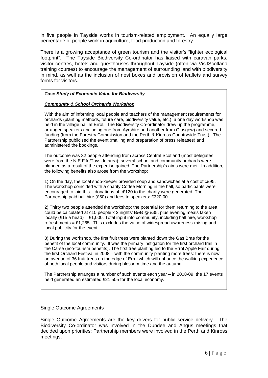in five people in Tayside works in tourism-related employment. An equally large percentage of people work in agriculture, food production and forestry.

There is a growing acceptance of green tourism and the visitor's "lighter ecological footprint". The Tayside Biodiversity Co-ordinator has liaised with caravan parks, visitor centres, hotels and guesthouses throughout Tayside (often via VisitScotland training courses) to encourage the management of surrounding land with biodiversity in mind, as well as the inclusion of nest boxes and provision of leaflets and survey forms for visitors.

#### *Case Study of Economic Value for Biodiversity*

#### *Community & School Orchards Workshop*

With the aim of informing local people and teachers of the management requirements for orchards (planting methods, future care, biodiversity value, etc.), a one day workshop was held in the village hall at Errol. The Biodiversity Co-ordinator drew up the programme, arranged speakers (including one from Ayrshire and another from Glasgow) and secured funding (from the Forestry Commission and the Perth & Kinross Countryside Trust). The Partnership publicised the event (mailing and preparation of press releases) and administered the bookings.

The outcome was 32 people attending from across Central Scotland (most delegates were from the N E Fife/Tayside area); several school and community orchards were planned as a result of the expertise gained. The Partnership's aims were met. In addition, the following benefits also arose from the workshop:

1) On the day, the local shop-keeper provided soup and sandwiches at a cost of c£95. The workshop coincided with a charity Coffee Morning in the hall, so participants were encouraged to join this – donations of c£120 to the charity were generated. The Partnership paid hall hire (£50) and fees to speakers: £320.00.

2) Thirty two people attended the workshop; the potential for them returning to the area could be calculated at c10 people x 2 nights' B&B @ £35, plus evening meals taken locally (£15 a head) = £1,000. Total input into community, including hall hire, workshop refreshments =  $£1,265$ . This excludes the value of widespread awareness-raising and local publicity for the event.

3) During the workshop, the first fruit trees were planted down the Gas Brae for the benefit of the local community. It was the primary instigation for the first orchard trail in the Carse (eco-tourism benefits). The first tree planting led to the Errol Apple Fair during the first Orchard Festival in 2008 – with the community planting more trees: there is now an avenue of 36 fruit trees on the edge of Errol which will enhance the walking experience of both local people and visitors during blossom time and the autumn.

The Partnership arranges a number of such events each year – in 2008-09, the 17 events held generated an estimated £21,505 for the local economy.

#### Single Outcome Agreements

Single Outcome Agreements are the key drivers for public service delivery. The Biodiversity Co-ordinator was involved in the Dundee and Angus meetings that decided upon priorities; Partnership members were involved in the Perth and Kinross meetings.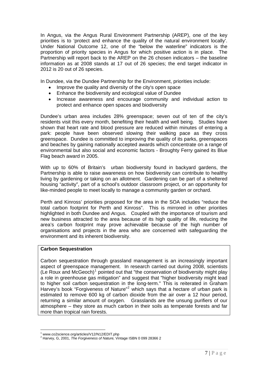In Angus, via the Angus Rural Environment Partnership (AREP), one of the key priorities is to 'protect and enhance the quality of the natural environment locally'. Under National Outcome 12, one of the "below the waterline" indicators is the proportion of priority species in Angus for which positive action is in place. The Partnership will report back to the AREP on the 26 chosen indicators – the baseline information as at 2008 stands at 17 out of 26 species; the end target indicator in 2012 is 20 out of 26 species.

In Dundee, via the Dundee Partnership for the Environment, priorities include:

- Improve the quality and diversity of the city's open space
- Enhance the biodiversity and ecological value of Dundee
- Increase awareness and encourage community and individual action to protect and enhance open spaces and biodiversity

Dundee's urban area includes 28% greenspace; seven out of ten of the city's residents visit this every month, benefiting their health and well being. Studies have shown that heart rate and blood pressure are reduced within minutes of entering a park: people have been observed slowing their walking pace as they cross greenspace. Dundee is committed to improving the quality of its parks, greenspaces and beaches by gaining nationally accepted awards which concentrate on a range of environmental but also social and economic factors - Broughty Ferry gained its Blue Flag beach award in 2005.

With up to 60% of Britain's urban biodiversity found in backyard gardens, the Partnership is able to raise awareness on how biodiversity can contribute to healthy living by gardening or taking on an allotment. Gardening can be part of a sheltered housing "activity", part of a school's outdoor classroom project, or an opportunity for like-minded people to meet locally to manage a community garden or orchard.

Perth and Kinross' priorities proposed for the area in the SOA includes "reduce the total carbon footprint for Perth and Kinross". This is mirrored in other priorities highlighted in both Dundee and Angus. Coupled with the importance of tourism and new business attracted to the area because of its high quality of life, reducing the area's carbon footprint may prove achievable because of the high number of organisations and projects in the area who are concerned with safeguarding the environment and its inherent biodiversity.

#### **Carbon Sequestration**

Carbon sequestration through grassland management is an increasingly important aspect of greenspace management. In research carried out during 2008, scientists  $($ Le Roux and McGeoch $)^1$  $)^1$  pointed out that "the conservation of biodiversity might play a role in greenhouse gas mitigation" and suggest that "higher biodiversity might lead to higher soil carbon sequestration in the long-term." This is reiterated in Graham Harvey's book "Forgiveness of Nature"<sup>[2](#page-6-1)</sup> which says that a hectare of urban park is estimated to remove 600 kg of carbon dioxide from the air over a 12 hour period, returning a similar amount of oxygen. Grasslands are the unsung purifiers of our atmosphere – they store as much carbon in their soils as temperate forests and far more than tropical rain forests.

<sup>1</sup> 1 www.co2science.org/articles/V12/N12/EDIT.php

<span id="page-6-1"></span><span id="page-6-0"></span><sup>2</sup> Harvey, G, 2001, *The Forgiveness of Nature,* Vintage ISBN 0 099 28366 2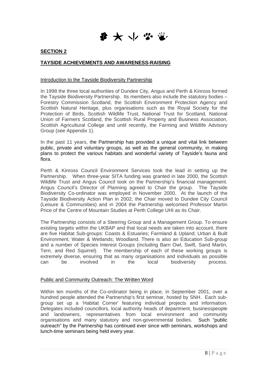要大业学业

#### **SECTION 2**

#### **TAYSIDE ACHIEVEMENTS AND AWARENESS-RAISING**

#### Introduction to the Tayside Biodiversity Partnership

In 1998 the three local authorities of Dundee City, Angus and Perth & Kinross formed the Tayside Biodiversity Partnership. Its members also include the statutory bodies – Forestry Commission Scotland, the Scottish Environment Protection Agency and Scottish Natural Heritage, plus organisations such as the Royal Society for the Protection of Birds, Scottish Wildlife Trust, National Trust for Scotland, National Union of Farmers Scotland, the Scottish Rural Property and Business Association, Scottish Agricultural College and until recently, the Farming and Wildlife Advisory Group (see Appendix 1).

In the past 11 years, the Partnership has provided a unique and vital link between public, private and voluntary groups, as well as the general community, in making plans to protect the various habitats and wonderful variety of Tayside's fauna and flora.

Perth & Kinross Council Environment Services took the lead in setting up the Partnership. When three-year SITA funding was granted in late 2000, the Scottish Wildlife Trust and Angus Council took on the Partnership's financial management. Angus Council's Director of Planning agreed to Chair the group. The Tayside Biodiversity Co-ordinator was employed in November 2000. At the launch of the Tayside Biodiversity Action Plan in 2002, the Chair moved to Dundee City Council (Leisure & Communities) and in 2004 the Partnership welcomed Professor Martin Price of the Centre of Mountain Studies at Perth College UHI as its Chair.

The Partnership consists of a Steering Group and a Management Group. To ensure existing targets within the UKBAP and that local needs are taken into account, there are five Habitat Sub-groups: Coasts & Estuaries; Farmland & Upland; Urban & Built Environment; Water & Wetlands; Woodland. There is also an Education Sub-group and a number of Species Interest Groups (including Barn Owl, Swift, Sand Martin, Tern, and Red Squirrel). The membership of each of these working groups is extremely diverse, ensuring that as many organisations and individuals as possible can be involved in the local biodiversity process.

#### Public and Community Outreach: The Written Word

Within ten months of the Co-ordinator being in place, in September 2001, over a hundred people attended the Partnership's first seminar, hosted by SNH. Each subgroup set up a 'Habitat Corner' featuring individual projects and information. Delegates included councillors, local authority heads of department, businesspeople and landowners, representatives from local environment and community organisations and many statutory and non-governmental bodies. Such "public outreach" by the Partnership has continued ever since with seminars, workshops and lunch-time seminars being held every year.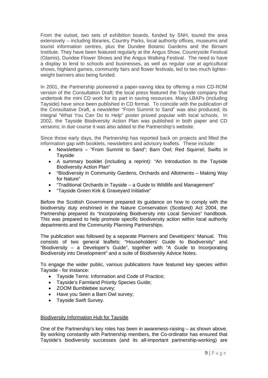From the outset, two sets of exhibition boards, funded by SNH, toured the area extensively – including libraries, Country Parks, local authority offices, museums and tourist information centres, plus the Dundee Botanic Gardens and the Birnam Institute. They have been featured regularly at the Angus Show, Countryside Festival (Glamis), Dundee Flower Shows and the Angus Walking Festival. The need to have a display to lend to schools and businesses, as well as regular use at agricultural shows, highland games, community fairs and flower festivals, led to two much lighterweight banners also being funded.

In 2001, the Partnership pioneered a paper-saving idea by offering a mini CD-ROM version of the Consultation Draft; the local press featured the Tayside company that undertook the mini CD work for its part in saving resources. Many LBAPs (including Tayside) have since been published in CD format. To coincide with the publication of the Consultative Draft, a newsletter "From Summit to Sand" was also produced; its integral "What You Can Do to Help" poster proved popular with local schools. In 2002, the Tayside Biodiversity Action Plan was published in both paper and CD versions; in due course it was also added to the Partnership's website.

Since those early days, the Partnership has reported back on projects and filled the information gap with booklets, newsletters and advisory leaflets. These include:

- Newsletters "From Summit to Sand"; Barn Owl; Red Squirrel; Swifts in **Tavside**
- A summary booklet (including a reprint): "An Introduction to the Tayside Biodiversity Action Plan"
- "Biodiversity in Community Gardens, Orchards and Allotments Making Way for Nature"
- "Traditional Orchards in Tayside a Guide to Wildlife and Management"
- "Tayside Green Kirk & Graveyard Initiative"

Before the Scottish Government prepared its guidance on how to comply with the biodiversity duty enshrined in the Nature Conservation (Scotland) Act 2004, the Partnership prepared its "Incorporating Biodiversity into Local Services" handbook. This was prepared to help promote specific biodiversity action within local authority departments and the Community Planning Partnerships.

The publication was followed by a separate Planners and Developers' Manual. This consists of two general leaflets: "Householders' Guide to Biodiversity" and "Biodiversity – a Developer's Guide", together with "A Guide to Incorporating Biodiversity into Development" and a suite of Biodiversity Advice Notes.

To engage the wider public, various publications have featured key species within Tayside - for instance:

- Tayside Terns: Information and Code of Practice;
- Tayside's Farmland Priority Species Guide;
- ZOOM Bumblebee survey;
- Have you Seen a Barn Owl survey;
- Tayside Swift Survey.

#### Biodiversity Information Hub for Tayside

One of the Partnership's key roles has been in awareness-raising – as shown above. By working constantly with Partnership members, the Co-ordinator has ensured that Tayside's biodiversity successes (and its all-important partnership-working) are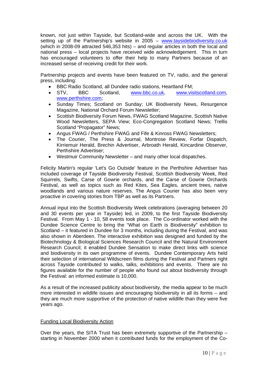known, not just within Tayside, but Scotland-wide and across the UK. With the setting up of the Partnership's website in 2005 – [www.taysidebiodiversity.co.uk](http://www.taysidebiodiversity.co.uk/) (which in 2008-09 attracted 546,353 hits) – and regular articles in both the local and national press – local projects have received wide acknowledgement. This in turn has encouraged volunteers to offer their help to many Partners because of an increased sense of receiving credit for their work.

Partnership projects and events have been featured on TV, radio, and the general press, including:

- BBC Radio Scotland, all Dundee radio stations, Heartland FM;
- STV, BBC Scotland, [www.bbc.co.uk,](http://www.bbc.co.uk/) [www.visitscotland.com](http://www.visitscotland.com/), [www.perthshire.com;](http://www.perthshire.com/)
- Sunday Times; Scotland on Sunday; UK Biodiversity News, Resurgence Magazine, National Orchard Forum Newsletter;
- Scottish Biodiversity Forum News, FWAG Scotland Magazine, Scottish Native Wood Newsletters, SEPA View; Eco-Congregation Scotland News; Trellis Scotland "Propagator" News;
- Angus FWAG / Perthshire FWAG and Fife & Kinross FWAG Newsletters;
- The Courier, The Press & Journal, Montrose Review, Forfar Dispatch, Kirriemuir Herald, Brechin Advertiser, Arbroath Herald, Kincardine Observer, Perthshire Advertiser;
- Westmuir Community Newsletter and many other local dispatches.

Felicity Martin's regular 'Let's Go Outside' feature in the Perthshire Advertiser has included coverage of Tayside Biodiversity Festival, Scottish Biodiversity Week, Red Squirrels, Swifts, Carse of Gowrie orchards, and the Carse of Gowrie Orchards Festival, as well as topics such as Red Kites, Sea Eagles, ancient trees, native woodlands and various nature reserves. The Angus Courier has also been very proactive in covering stories from TBP as well as its Partners.

Annual input into the Scottish Biodiversity Week celebrations (averaging between 20 and 30 events per year in Tayside) led, in 2009, to the first Tayside Biodiversity Festival. From May 1 - 10, 58 events took place. The Co-ordinator worked with the Dundee Science Centre to bring the "What on Earth is Biodiversity" exhibition to Scotland – it featured in Dundee for 3 months, including during the Festival, and was also shown in Aberdeen. The interactive exhibition was designed and funded by the Biotechnology & Biological Sciences Research Council and the Natural Environment Research Council; it enabled Dundee Sensation to make direct links with science and biodiversity in its own programme of events. Dundee Contemporary Arts held their selection of international Wildscreen films during the Festival and Partners right across Tayside contributed to walks, talks, exhibitions and events. There are no figures available for the number of people who found out about biodiversity through the Festival: an informed estimate is 10,000.

As a result of the increased publicity about biodiversity, the media appear to be much more interested in wildlife issues and encouraging biodiversity in all its forms – and they are much more supportive of the protection of native wildlife than they were five years ago.

#### Funding Local Biodiversity Action

Over the years, the SITA Trust has been extremely supportive of the Partnership – starting in November 2000 when it contributed funds for the employment of the Co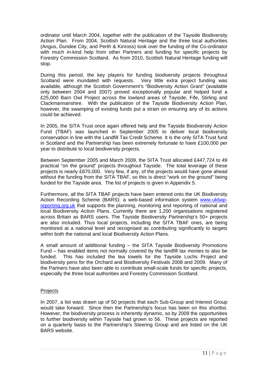ordinator until March 2004, together with the publication of the Tayside Biodiversity Action Plan. From 2004, Scottish Natural Heritage and the three local authorities (Angus, Dundee City, and Perth & Kinross) took over the funding of the Co-ordinator with much in-kind help from other Partners and funding for specific projects by Forestry Commission Scotland. As from 2010, Scottish Natural Heritage funding will stop.

During this period, the key players for funding biodiversity projects throughout Scotland were inundated with requests. Very little extra project funding was available, although the Scottish Government's "Biodiversity Action Grant" (available only between 2004 and 2007) proved exceptionally popular and helped fund a £25,000 Barn Owl Project across the lowland areas of Tayside, Fife, Stirling and Clackmannanshire. With the publication of the Tayside Biodiversity Action Plan, however, the swamping of existing funds put a strain on ensuring any of its actions could be achieved.

In 2005, the SITA Trust once again offered help and the Tayside Biodiversity Action Fund (TBAF) was launched in September 2005 to deliver local biodiversity conservation in line with the Landfill Tax Credit Scheme. It is the only SITA Trust fund in Scotland and the Partnership has been extremely fortunate to have £100,000 per year to distribute to local biodiversity projects.

Between September 2005 and March 2009, the SITA Trust allocated £447,724 to 49 practical "on the ground" projects throughout Tayside. The total leverage of these projects is nearly £870,000. Very few, if any, of the projects would have gone ahead without the funding from the SITA TBAF, so this is direct "work on the ground" being funded for the Tayside area. The list of projects is given in Appendix 5.

Furthermore, all the SITA TBAF projects have been entered onto the UK Biodiversity Action Recording Scheme (BARS): a web-based information system [www.ukbap](http://www.ukbap-reporting.org.uk/)[reporting.org.uk](http://www.ukbap-reporting.org.uk/) that supports the planning, monitoring and reporting of national and local Biodiversity Action Plans. Currently there are 1,200 organisations registered across Britain as BARS users. The Tayside Biodiversity Partnership's 50+ projects are also included. Thus local projects, including the SITA TBAF ones, are being monitored at a national level and recognised as contributing significantly to targets within both the national and local Biodiversity Action Plans.

A small amount of additional funding – the SITA Tayside Biodiversity Promotions Fund – has enabled items not normally covered by the landfill tax monies to also be funded. This has included the tea towels for the Tayside Lochs Project and biodiversity pens for the Orchard and Biodiversity Festivals 2008 and 2009. Many of the Partners have also been able to contribute small-scale funds for specific projects, especially the three local authorities and Forestry Commission Scotland.

#### **Projects**

In 2007, a list was drawn up of 50 projects that each Sub-Group and Interest Group would take forward. Since then the Partnership's focus has been on this shortlist. However, the biodiversity process is inherently dynamic, so by 2009 the opportunities to further biodiversity within Tayside had grown to 56. These projects are reported on a quarterly basis to the Partnership's Steering Group and are listed on the UK BARS website.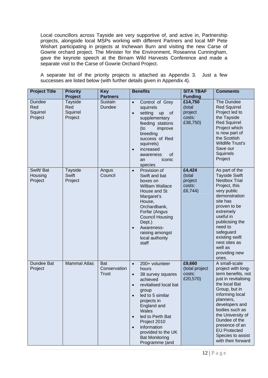Local councillors across Tayside are very supportive of, and active in, Partnership projects, alongside local MSPs working with different Partners and local MP Pete Wishart participating in projects at Inchewan Burn and visiting the new Carse of Gowrie orchard project. The Minister for the Environment, Roseanna Cunningham, gave the keynote speech at the Birnam Wild Harvests Conference and made a separate visit to the Carse of Gowrie Orchard Project.

A separate list of the priority projects is attached as Appendix 3. Just a few successes are listed below (with further details given in Appendix 4).

| <b>Project Title</b>                 | <b>Priority</b><br>Project                   | <b>Key</b><br><b>Partners</b>       | <b>Benefits</b>                                                                                                                                                                                                                                                                                                                                         | <b>SITA TBAF</b><br><b>Funding</b>                 | <b>Comments</b>                                                                                                                                                                                                                                                                                                   |
|--------------------------------------|----------------------------------------------|-------------------------------------|---------------------------------------------------------------------------------------------------------------------------------------------------------------------------------------------------------------------------------------------------------------------------------------------------------------------------------------------------------|----------------------------------------------------|-------------------------------------------------------------------------------------------------------------------------------------------------------------------------------------------------------------------------------------------------------------------------------------------------------------------|
| Dundee<br>Red<br>Squirrel<br>Project | <b>Tayside</b><br>Red<br>Squirrel<br>Project | Sustain<br>Dundee                   | Control of Grey<br>$\bullet$<br>squirrels<br>setting<br><b>of</b><br>up<br>$\bullet$<br>supplementary<br>feeding stations<br>(to<br>improve<br>breeding<br>success of Red<br>squirrels)<br>increased<br>$\bullet$<br>of<br>awareness<br>iconic<br>an<br>species                                                                                         | £14,750<br>(total<br>project<br>costs:<br>£38,750) | The Dundee<br><b>Red Squirrel</b><br>Project led to<br>the Tayside<br><b>Red Squirrel</b><br>Project which<br>is now part of<br>the Scottish<br><b>Wildlife Trust's</b><br>Save our<br>Squirrels<br>Project                                                                                                       |
| Swift/Bat<br>Housing<br>Project      | <b>Tayside</b><br><b>Swift</b><br>Project    | Angus<br>Council                    | Provision of<br>$\bullet$<br>Swift and bat<br>boxes on<br><b>William Wallace</b><br>House and St<br>Margaret's<br>House,<br>Orchardbank,<br>Forfar (Angus<br><b>Council Housing</b><br>Dept.)<br>Awareness-<br>raising amongst<br>local authority<br>staff                                                                                              | £4,424<br>(total<br>project<br>costs:<br>£6,744)   | As part of the<br><b>Tayside Swift</b><br><b>Nestbox Trial</b><br>Project, this<br>very public<br>demonstration<br>site has<br>proven to be<br>extremely<br>useful in<br>publicising the<br>need to<br>safeguard<br>existing swift<br>nest sites as<br>well as<br>providing new<br>ones.                          |
| Dundee Bat<br>Project                | <b>Mammal Atlas</b>                          | Bat<br>Conservation<br><b>Trust</b> | 200+ volunteer<br>$\bullet$<br>hours<br>38 survey squares<br>$\bullet$<br>achieved<br>revitalised local bat<br>$\bullet$<br>group<br>led to 5 similar<br>$\bullet$<br>projects in<br>England and<br>Wales<br>led to Perth Bat<br>$\bullet$<br>Project 2010<br>information<br>$\bullet$<br>provided to the UK<br><b>Bat Monitoring</b><br>Programme (and | £9,660<br>(total project<br>costs:<br>£20,570)     | A small-scale<br>project with long-<br>term benefits, not<br>just in revitalising<br>the local Bat<br>Group, but in<br>informing local<br>planners,<br>developers and<br>bodies such as<br>the University of<br>Dundee of the<br>presence of an<br><b>EU Protected</b><br>Species to assist<br>with their forward |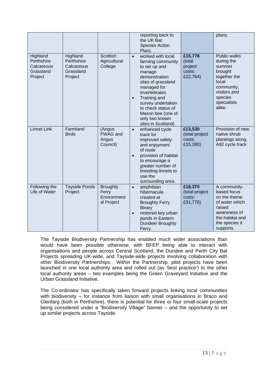|                                                              |                                                              |                                                       |                        | reporting back to<br>the UK Bat<br><b>Species Action</b><br>Plan).                                                                                                                                                                                                      |                                                    | plans.                                                                                                                                            |
|--------------------------------------------------------------|--------------------------------------------------------------|-------------------------------------------------------|------------------------|-------------------------------------------------------------------------------------------------------------------------------------------------------------------------------------------------------------------------------------------------------------------------|----------------------------------------------------|---------------------------------------------------------------------------------------------------------------------------------------------------|
| Highland<br>Perthshire<br>Calcareous<br>Grassland<br>Project | Highland<br>Perthshire<br>Calcareous<br>Grassland<br>Project | Scottish<br>Agricultural<br>College                   | $\bullet$<br>$\bullet$ | worked with local<br>farming community<br>to set up and<br>manage<br>demonstration<br>sites of grassland<br>managed for<br>invertebrates<br><b>Training and</b><br>survey undertaken<br>to check status of<br>Mason bee (one of<br>only two known<br>sites in Scotland) | £15,778<br>(total<br>project<br>costs:<br>£22,764) | <b>Public walks</b><br>during the<br>summer<br>brought<br>together the<br>local<br>community,<br>visitors and<br>species<br>specialists<br>alike. |
| <b>Linnet Link</b>                                           | Farmland<br><b>Birds</b>                                     | (Angus<br><b>FWAG and</b><br>Angus<br>Council)        | $\bullet$              | enhanced cycle<br>track for<br>improved safety<br>and enjoyment<br>of route<br>provision of habitat<br>to encourage a<br>greater number of<br>breeding linnets to<br>use the<br>surrounding area.                                                                       | £13,530<br>(total project<br>costs:<br>£15,280)    | Provision of new<br>native shrub<br>plantings along<br>A92 cycle track                                                                            |
| Following the<br>Life of Water                               | <b>Tayside Ponds</b><br>Project                              | <b>Broughty</b><br>Ferry<br>Environment<br>al Project | $\bullet$<br>$\bullet$ | amphibian<br>hibernacula<br>created at<br><b>Broughty Ferry</b><br>library<br>restored key urban<br>ponds in Eastern<br>Dundee/ Broughty<br>Ferry.                                                                                                                      | £18,370<br>(total project<br>costs:<br>£31,770)    | A community-<br>based focus<br>on the theme<br>of water which<br>raised<br>awareness of<br>the habitat and<br>the species it<br>supports.         |

The Tayside Biodiversity Partnership has enabled much wider associations than would have been possible otherwise, with BFEP being able to interact with organisations and people across Central Scotland, the Dundee and Perth City Bat Projects spreading UK-wide, and Tayside-wide projects involving collaboration with other Biodiversity Partnerships. Within the Partnership, pilot projects have been launched in one local authority area and rolled out (as 'best practice') to the other local authority areas – two examples being the Green Graveyard Initiative and the Urban Grassland Initiative.

The Co-ordinator has specifically taken forward projects linking local communities with biodiversity – for instance from liaison with small organisations in Braco and Glenfarg (both in Perthshire), there is potential for three or four small-scale projects being considered under a "Biodiversity Village" banner – and the opportunity to set up similar projects across Tayside.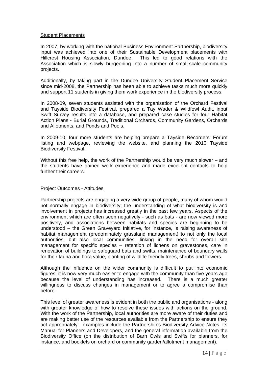#### Student Placements

In 2007, by working with the national Business Environment Partnership, biodiversity input was achieved into one of their Sustainable Development placements with Hillcrest Housing Association, Dundee. This led to good relations with the Association which is slowly burgeoning into a number of small-scale community projects.

Additionally, by taking part in the Dundee University Student Placement Service since mid-2008, the Partnership has been able to achieve tasks much more quickly and support 11 students in giving them work experience in the biodiversity process.

In 2008-09, seven students assisted with the organisation of the Orchard Festival and Tayside Biodiversity Festival, prepared a Tay Wader & Wildfowl Audit, input Swift Survey results into a database, and prepared case studies for four Habitat Action Plans - Burial Grounds, Traditional Orchards, Community Gardens, Orchards and Allotments, and Ponds and Pools.

In 2009-10, four more students are helping prepare a Tayside Recorders' Forum listing and webpage, reviewing the website, and planning the 2010 Tayside Biodiversity Festival.

Without this free help, the work of the Partnership would be very much slower – and the students have gained work experience and made excellent contacts to help further their careers.

#### Project Outcomes - Attitudes

Partnership projects are engaging a very wide group of people, many of whom would not normally engage in biodiversity; the understanding of what biodiversity is and involvement in projects has increased greatly in the past few years. Aspects of the environment which are often seen negatively - such as bats - are now viewed more positively, and associations between habitats and species are beginning to be understood – the Green Graveyard Initiative, for instance, is raising awareness of habitat management (predominately grassland management) to not only the local authorities, but also local communities, linking in the need for overall site management for specific species – retention of lichens on gravestones, care in renovation of buildings to safeguard bats and swifts, maintenance of boundary walls for their fauna and flora value, planting of wildlife-friendly trees, shrubs and flowers.

Although the influence on the wider community is difficult to put into economic figures, it is now very much easier to engage with the community than five years ago because the level of understanding has increased. There is a much greater willingness to discuss changes in management or to agree a compromise than before.

This level of greater awareness is evident in both the public and organisations - along with greater knowledge of how to resolve these issues with actions on the ground. With the work of the Partnership, local authorities are more aware of their duties and are making better use of the resources available from the Partnership to ensure they act appropriately - examples include the Partnership's Biodiversity Advice Notes, its Manual for Planners and Developers, and the general information available from the Biodiversity Office (on the distribution of Barn Owls and Swifts for planners, for instance, and booklets on orchard or community garden/allotment management).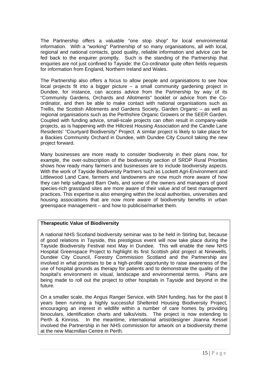The Partnership offers a valuable "one stop shop" for local environmental information. With a "working" Partnership of so many organisations, all with local, regional and national contacts, good quality, reliable information and advice can be fed back to the enquirer promptly. Such is the standing of the Partnership that enquiries are not just confined to Tayside: the Co-ordinator quite often fields requests for information from England, Northern Ireland and Wales.

The Partnership also offers a focus to allow people and organisations to see how local projects fit into a bigger picture – a small community gardening project in Dundee, for instance, can access advice from the Partnership by way of its "Community Gardens, Orchards and Allotments" booklet or advice from the Coordinator, and then be able to make contact with national organisations such as Trellis, the Scottish Allotments and Gardens Society, Garden Organic – as well as regional organisations such as the Perthshire Organic Growers or the SEER Garden. Coupled with funding advice, small-scale projects can often result in company-wide projects, as is happening with the Hillcrest Housing Association and the Candle Lane Residents' "Courtyard Biodiversity" Project. A similar project is likely to take place for a Backies Community Orchard in Dundee, with Dundee City Council taking the new project forward.

Many businesses are more ready to consider biodiversity in their plans now, for example, the over-subscription of the biodiversity section of SRDP Rural Priorities shows how ready many farmers and businesses are to include biodiversity aspects. With the work of Tayside Biodiversity Partners such as Lockett Agri-Environment and Littlewood Land Care, farmers and landowners are now much more aware of how they can help safeguard Barn Owls, and some of the owners and managers of good species-rich grassland sites are more aware of their value and of best management practices. This expertise is also emerging within the local authorities, universities and housing associations that are now more aware of biodiversity benefits in urban greenspace management – and how to publicise/market them.

### **Therapeutic Value of Biodiversity**

A national NHS Scotland biodiversity seminar was to be held in Stirling but, because of good relations in Tayside, this prestigious event will now take place during the Tayside Biodiversity Festival next May in Dundee. This will enable the new NHS Hospital Greenspace Project to highlight its first Scottish pilot project at Ninewells. Dundee City Council, Forestry Commission Scotland and the Partnership are involved in what promises to be a high-profile opportunity to raise awareness of the use of hospital grounds as therapy for patients and to demonstrate the quality of the hospital's environment in visual, landscape and environmental terms. Plans are being made to roll out the project to other hospitals in Tayside and beyond in the future.

On a smaller scale, the Angus Ranger Service, with SNH funding, has for the past 8 years been running a highly successful Sheltered Housing Biodiversity Project, encouraging an interest in wildlife within a number of care homes by providing binoculars, identification charts and talks/visits. The project is now extending to Perth & Kinross. In the meantime, international artist/designer Joanna Kessel involved the Partnership in her NHS commission for artwork on a biodiversity theme at the new Macmillan Centre in Perth.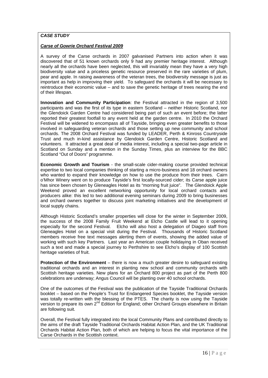#### *CASE STUDY*

#### *Carse of Gowrie Orchard Festival 2009*

A survey of the Carse orchards in 2007 galvanised Partners into action when it was discovered that of 51 known orchards only 9 had any premier heritage interest. Although nearly all the orchards have been neglected, this will invariably mean they have a very high biodiversity value and a priceless genetic resource preserved in the rare varieties of plum, pear and apple. In raising awareness of the veteran trees, the biodiversity message is just as important as help in improving their yield. To safeguard the orchards it will be necessary to reintroduce their economic value – and to save the genetic heritage of trees nearing the end of their lifespan.

**Innovation and Community Participation**: the Festival attracted in the region of 3,500 participants and was the first of its type in eastern Scotland – neither Historic Scotland, nor the Glendoick Garden Centre had considered being part of such an event before; the latter reported their greatest footfall to any event held at the garden centre. In 2010 the Orchard Festival will be widened to encompass all of Tayside, bringing even greater benefits to those involved in safeguarding veteran orchards and those setting up new community and school orchards. The 2008 Orchard Festival was funded by LEADER, Perth & Kinross Countryside Trust and much in-kind assistance by Glendoick Garden Centre, Historic Scotland and volunteers. It attracted a great deal of media interest, including a special two-page article in Scotland on Sunday and a mention in the Sunday Times, plus an interview for the BBC Scotland "Out of Doors" programme.

**Economic Growth and Tourism** - the small-scale cider-making course provided technical expertise to two local companies thinking of starting a micro-business and 18 orchard owners who wanted to expand their knowledge on how to use the produce from their trees. Cairn o'Mhor Winery went on to produce Tayside's first locally-sourced cider; its Carse apple juice has since been chosen by Gleneagles Hotel as its "morning fruit juice". The Glendoick Apple Weekend proved an excellent networking opportunity for local orchard contacts and producers alike: this led to two additional evening seminars during 2009 to bring businesses and orchard owners together to discuss joint marketing initiatives and the development of local supply chains.

Although Historic Scotland's smaller properties will close for the winter in September 2009, the success of the 2008 Family Fruit Weekend at Elcho Castle will lead to it opening especially for the second Festival. Elcho will also host a delegation of Diageo staff from Gleneagles Hotel on a special visit during the Festival. Thousands of Historic Scotland members receive free text messages alerting them of events, showing the added value of working with such key Partners. Last year an American couple holidaying in Oban received such a text and made a special journey to Perthshire to see Elcho's display of 100 Scottish heritage varieties of fruit.

**Protection of the Environment** – there is now a much greater desire to safeguard existing traditional orchards and an interest in planting new school and community orchards with Scottish heritage varieties. New plans for an Orchard 800 project as part of the Perth 800 celebrations are underway; Angus Council will be planting over 40 school orchards.

One of the outcomes of the Festival was the publication of the Tayside Traditional Orchards booklet – based on the People's Trust for Endangered Species booklet, the Tayside version was totally re-written with the blessing of the PTES. The charity is now using the Tayside version to prepare its own 2<sup>nd</sup> Edition for England; other Orchard Groups elsewhere in Britain are following suit.

Overall, the Festival fully integrated into the local Community Plans and contributed directly to the aims of the draft Tayside Traditional Orchards Habitat Action Plan, and the UK Traditional Orchards Habitat Action Plan, both of which are helping to focus the vital importance of the Carse Orchards in the Scottish context.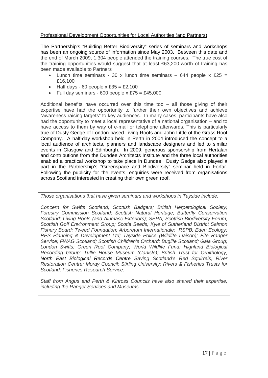#### Professional Development Opportunities for Local Authorities (and Partners)

The Partnership's "Building Better Biodiversity" series of seminars and workshops has been an ongoing source of information since May 2003. Between this date and the end of March 2009, 1,304 people attended the training courses. The true cost of the training opportunities would suggest that at least £63,200-worth of training has been made available to Partners

- Lunch time seminars 30 x lunch time seminars 644 people x £25 = £16,100
- Half days 60 people  $x \, \text{£}35 = \text{£}2,100$
- Full day seminars 600 people  $x \le 75$  = £45,000

Additional benefits have occurred over this time too – all those giving of their expertise have had the opportunity to further their own objectives and achieve "awareness-raising targets" to key audiences. In many cases, participants have also had the opportunity to meet a local representative of a national organisation – and to have access to them by way of e-mail or telephone afterwards. This is particularly true of Dusty Gedge of London-based Living Roofs and John Little of the Grass Roof Company. A half-day workshop held in Perth in 2004 introduced the concept to a local audience of architects, planners and landscape designers and led to similar events in Glasgow and Edinburgh. In 2009, generous sponsorship from Hertalan and contributions from the Dundee Architects Institute and the three local authorities enabled a practical workshop to take place in Dundee. Dusty Gedge also played a part in the Partnership's "Greenspace and Biodiversity" seminar held in Forfar. Following the publicity for the events, enquiries were received from organisations across Scotland interested in creating their own green roof.

*Those organisations that have given seminars and workshops in Tayside include:* 

*Concern for Swifts Scotland; Scottish Badgers; British Herpetological Society; Forestry Commission Scotland; Scottish Natural Heritage; Butterfly Conservation Scotland; Living Roofs (and Alumasc Exteriors); SEPA; Scottish Biodiversity Forum; Scottish Golf Environment Group; Scotia Seeds; Kyle of Sutherland District Salmon Fishery Board; Tweed Foundation; Arboretum Internationale; RSPB; Eden Ecology; RPS Planning & Development Ltd; Tayside Police (Wildlife Liaison); Fife Ranger Service; FWAG Scotland; Scottish Children's Orchard; Buglife Scotland; Gaia Group;*  London Swifts; Green Roof Company; World Wildlife Fund; Highland Biological *Recording Group; Tullie House Museum (Carlisle); British Trust for Ornithology; North East Biological Records Centre Saving Scotland's Red Squirrels; River Restoration Centre; Moray Council; Stirling University; Rivers & Fisheries Trusts for Scotland; Fisheries Research Service.* 

*Staff from Angus and Perth & Kinross Councils have also shared their expertise, including the Ranger Services and Museums.*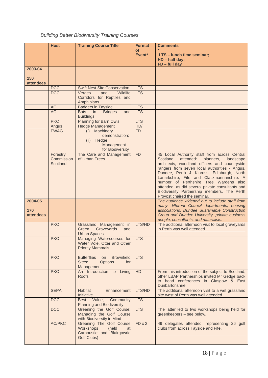## *Building Better Biodiversity Training Courses*

|                         | <b>Host</b>                        | <b>Training Course Title</b>                                                                      | <b>Format</b>     | <b>Comments</b>                                                                                                                                                                                                                                                                                                                                                                                                                                                          |
|-------------------------|------------------------------------|---------------------------------------------------------------------------------------------------|-------------------|--------------------------------------------------------------------------------------------------------------------------------------------------------------------------------------------------------------------------------------------------------------------------------------------------------------------------------------------------------------------------------------------------------------------------------------------------------------------------|
|                         |                                    |                                                                                                   | оf<br>Event*      | LTS - lunch time seminar;<br>HD - half day;                                                                                                                                                                                                                                                                                                                                                                                                                              |
| 2003-04                 |                                    |                                                                                                   |                   | $FD$ – full day                                                                                                                                                                                                                                                                                                                                                                                                                                                          |
| 150                     |                                    |                                                                                                   |                   |                                                                                                                                                                                                                                                                                                                                                                                                                                                                          |
| <b>attendees</b>        | <b>DCC</b>                         | <b>Swift Nest Site Conservation</b>                                                               | <b>LTS</b>        |                                                                                                                                                                                                                                                                                                                                                                                                                                                                          |
|                         | <b>DCC</b>                         | Wildlife<br>Verges<br>and<br>Corridors for Reptiles and<br>Amphibians                             | <b>LTS</b>        |                                                                                                                                                                                                                                                                                                                                                                                                                                                                          |
|                         | AC                                 | <b>Badgers in Tayside</b>                                                                         | <b>LTS</b>        |                                                                                                                                                                                                                                                                                                                                                                                                                                                                          |
|                         | <b>AC</b>                          | <b>Bats</b><br>in<br><b>Bridges</b><br>and<br><b>Buildings</b>                                    | <b>LTS</b>        |                                                                                                                                                                                                                                                                                                                                                                                                                                                                          |
|                         | <b>PKC</b>                         | <b>Planning for Barn Owls</b><br><b>Hedge Management</b>                                          | <b>LTS</b><br>HD/ |                                                                                                                                                                                                                                                                                                                                                                                                                                                                          |
|                         | Angus<br><b>FWAG</b>               | (i) Machinery<br>demonstration;<br>Hedge<br>(ii)<br>Management<br>for Biodiversity                | <b>FD</b>         |                                                                                                                                                                                                                                                                                                                                                                                                                                                                          |
|                         | Forestry<br>Commission<br>Scotland | The Care and Management<br>of Urban Trees                                                         | <b>FD</b>         | 45 Local Authority staff from across Central<br>Scotland<br>attended:<br>planners,<br>landscape<br>architects, woodland officers and countryside<br>rangers from seven local authorities - Angus,<br>Dundee, Perth & Kinross, Edinburgh, North<br>Lanarkshire, Fife and Clackmannanshire. A<br>number of Perthshire Tree Wardens also<br>attended, as did several private consultants and<br>Biodiversity Partnership members. The Perth<br>Provost chaired the seminar. |
| 2004-05                 |                                    |                                                                                                   |                   | The audience widened out to include staff from<br>many different Council departments, housing                                                                                                                                                                                                                                                                                                                                                                            |
| 170<br><b>attendees</b> |                                    |                                                                                                   |                   | associations, Dundee Sustainable Construction<br>Group and Dundee University, private business<br>people, consultants, and naturalists.                                                                                                                                                                                                                                                                                                                                  |
|                         | <b>PKC</b>                         | Grassland Management in<br>Green<br>Graveyards<br>and<br><b>Urban Spaces</b>                      | LTS/HD            | The additional afternoon visit to local graveyards<br>in Perth was well attended.                                                                                                                                                                                                                                                                                                                                                                                        |
|                         | <b>PKC</b>                         | Managing Watercourses for<br>Water Vole, Otter and Other<br><b>Priority Mammals</b>               | <b>LTS</b>        |                                                                                                                                                                                                                                                                                                                                                                                                                                                                          |
|                         | <b>PKC</b>                         | <b>Butterflies</b><br><b>Brownfield</b><br>on<br>Sites:<br><b>Options</b><br>for<br>Management    | <b>LTS</b>        |                                                                                                                                                                                                                                                                                                                                                                                                                                                                          |
|                         | <b>PKC</b>                         | An Introduction to Living<br><b>Roofs</b>                                                         | <b>HD</b>         | From this introduction of the subject to Scotland,<br>other LBAP Partnerships invited Mr Gedge back<br>to head conferences in Glasgow & East<br>Dunbartonshire.                                                                                                                                                                                                                                                                                                          |
|                         | <b>SEPA</b>                        | Habitat<br>Enhancement<br>Initiative                                                              | LTS/HD            | The additional afternoon visit to a wet grassland<br>site west of Perth was well attended.                                                                                                                                                                                                                                                                                                                                                                               |
|                         | <b>DCC</b>                         | Community<br>Best Value,<br><b>Planning and Biodiversity</b>                                      | <b>LTS</b>        |                                                                                                                                                                                                                                                                                                                                                                                                                                                                          |
|                         | <b>DCC</b>                         | Greening the Golf Course:<br>Managing the Golf Course<br>with Biodiversity in Mind                | <b>LTS</b>        | The latter led to two workshops being held for<br>greenkeepers - see below.                                                                                                                                                                                                                                                                                                                                                                                              |
|                         | <b>AC/PKC</b>                      | Greening The Golf Course<br>Workshops<br>(held<br>at<br>Carnoustie and Blairgowrie<br>Golf Clubs) | $FD \times 2$     | 49 delegates attended, representing 26 golf<br>clubs from across Tayside and Fife.                                                                                                                                                                                                                                                                                                                                                                                       |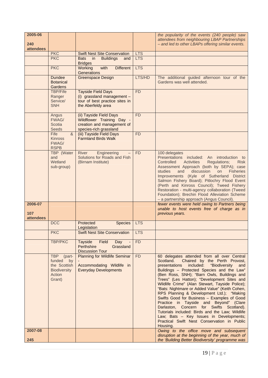| 2005-06<br>240<br><b>attendees</b> |                                                                                       |                                                                                                                 |            | the popularity of the events (240 people) saw<br>attendees from neighbouring LBAP Partnerships<br>- and led to other LBAPs offering similar events.                                                                                                                                                                                                                                                                                                                                                                                                                                                                                                                                                                                        |
|------------------------------------|---------------------------------------------------------------------------------------|-----------------------------------------------------------------------------------------------------------------|------------|--------------------------------------------------------------------------------------------------------------------------------------------------------------------------------------------------------------------------------------------------------------------------------------------------------------------------------------------------------------------------------------------------------------------------------------------------------------------------------------------------------------------------------------------------------------------------------------------------------------------------------------------------------------------------------------------------------------------------------------------|
|                                    | <b>PKC</b>                                                                            | <b>Swift Nest Site Conservation</b>                                                                             | <b>LTS</b> |                                                                                                                                                                                                                                                                                                                                                                                                                                                                                                                                                                                                                                                                                                                                            |
|                                    | <b>PKC</b>                                                                            | in<br><b>Buildings</b><br><b>Bats</b><br>and<br><b>Bridges</b>                                                  | <b>LTS</b> |                                                                                                                                                                                                                                                                                                                                                                                                                                                                                                                                                                                                                                                                                                                                            |
|                                    | <b>PKC</b>                                                                            | with<br><b>Different</b><br>Working<br>Generations                                                              | <b>LTS</b> |                                                                                                                                                                                                                                                                                                                                                                                                                                                                                                                                                                                                                                                                                                                                            |
|                                    | <b>Dundee</b><br><b>Botanical</b><br>Gardens                                          | <b>Greenspace Design</b>                                                                                        | LTS/HD     | The additional guided afternoon tour of the<br>Gardens was well attended.                                                                                                                                                                                                                                                                                                                                                                                                                                                                                                                                                                                                                                                                  |
|                                    | <b>TBP/Fife</b><br>Ranger<br>Service/<br><b>SNH</b>                                   | <b>Tayside Field Days</b><br>(i) grassland management -<br>tour of best practice sites in<br>the Aberfeldy area | <b>FD</b>  |                                                                                                                                                                                                                                                                                                                                                                                                                                                                                                                                                                                                                                                                                                                                            |
|                                    | Angus<br>FWAG/<br>Scotia<br><b>Seeds</b>                                              | (ii) Tayside Field Days<br>Wildflower Training Day -<br>creation and management of<br>species-rich grassland    | <b>FD</b>  |                                                                                                                                                                                                                                                                                                                                                                                                                                                                                                                                                                                                                                                                                                                                            |
|                                    | Fife<br>&<br><b>Kinross</b><br>FWAG/<br><b>RSPB</b>                                   | (iii) Tayside Field Days<br><b>Farmland Birds Walk</b>                                                          | <b>FD</b>  |                                                                                                                                                                                                                                                                                                                                                                                                                                                                                                                                                                                                                                                                                                                                            |
|                                    | <b>TBP</b> (Water<br>and<br>Wetland<br>sub-group)                                     | Engineering<br>River<br>Solutions for Roads and Fish<br>(Birnam Institute)                                      | <b>FD</b>  | 100 delegates<br>Presentations included: An introduction to<br><b>Activities</b><br>Controlled<br><b>Regulations;</b><br><b>Risk</b><br>Assessment Approach (both by SEPA); case<br>discussion<br><b>Fisheries</b><br>studies<br>and<br>on<br>Improvements (Kyle of Sutherland District<br>Salmon Fishery Board); Pitlochry Flood Event<br>(Perth and Kinross Council); Tweed Fishery<br>Restoration - multi-agency collaboration (Tweed<br>Foundation); Brechin Flood Alleviation Scheme<br>- a partnership approach (Angus Council).                                                                                                                                                                                                     |
| 2006-07<br>107<br><b>attendees</b> |                                                                                       |                                                                                                                 |            | fewer events were held owing to Partners being<br>unable to host events free of charge as in<br>previous years.                                                                                                                                                                                                                                                                                                                                                                                                                                                                                                                                                                                                                            |
|                                    | <b>DCC</b>                                                                            | Protected<br><b>Species</b><br>Legislation                                                                      | <b>LTS</b> |                                                                                                                                                                                                                                                                                                                                                                                                                                                                                                                                                                                                                                                                                                                                            |
|                                    | <b>PKC</b>                                                                            | <b>Swift Nest Site Conservation</b>                                                                             | <b>LTS</b> |                                                                                                                                                                                                                                                                                                                                                                                                                                                                                                                                                                                                                                                                                                                                            |
|                                    | <b>TBP/PKC</b>                                                                        | <b>Tayside</b><br>Field<br>Day<br>Perthshire<br>Grassland<br><b>Discussion Tour</b>                             | <b>FD</b>  |                                                                                                                                                                                                                                                                                                                                                                                                                                                                                                                                                                                                                                                                                                                                            |
|                                    | TBP (part-<br>funded<br>by<br>the Scottish<br><b>Biodiversity</b><br>Action<br>Grant) | <b>Planning for Wildlife Seminar</b><br>Accommodating Wildlife in<br><b>Everyday Developments</b>               | <b>FD</b>  | 60 delegates attended from all over Central<br>Chaired by the Perth Provost,<br>Scotland.<br>presentations<br>included:<br>"Biodiversity<br>and<br>Buildings - Protected Species and the Law"<br>(Ben Ross, SNH); "Barn Owls, Buildings and<br>Trees" (Les Hatton); "Development Sites and<br>Wildlife Crime" (Alan Stewart, Tayside Police);<br>"Bats: Nightmare or Added Value" (Keith Cohen,<br>RPS Planning & Development Ltd.); "Making<br>Swifts Good for Business - Examples of Good<br>Practice in Tayside and Beyond" (Clare<br>Darlaston, Concern for Swifts Scotland).<br>Tutorials included: Birds and the Law; Wildlife<br>Law; Bats - Key Issues in Developments;<br>Practical Swift Nest Conservation in Public<br>Housing. |
| 2007-08                            |                                                                                       |                                                                                                                 |            | Owing to the office move and subsequent<br>disruption at the beginning of the year, much of                                                                                                                                                                                                                                                                                                                                                                                                                                                                                                                                                                                                                                                |
| 245                                |                                                                                       |                                                                                                                 |            | the 'Building Better Biodiversity' programme was                                                                                                                                                                                                                                                                                                                                                                                                                                                                                                                                                                                                                                                                                           |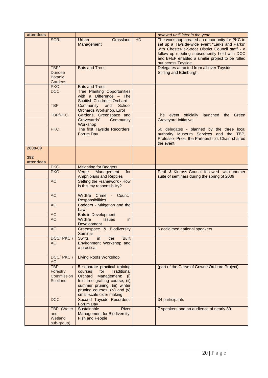| attendees        |                                                    |                                                                                                                                                                                                                               |           | delayed until later in the year.                                                                                                                                                                                                                                               |
|------------------|----------------------------------------------------|-------------------------------------------------------------------------------------------------------------------------------------------------------------------------------------------------------------------------------|-----------|--------------------------------------------------------------------------------------------------------------------------------------------------------------------------------------------------------------------------------------------------------------------------------|
|                  | <b>SCRI</b>                                        | Grassland<br>Urban<br>Management                                                                                                                                                                                              | <b>HD</b> | The workshop created an opportunity for PKC to<br>set up a Tayside-wide event "Larks and Parks"<br>with Chester-le-Street District Council staff - a<br>follow up meeting subsequently held with DCC<br>and BFEP enabled a similar project to be rolled<br>out across Tayside. |
|                  | TBP/<br><b>Dundee</b><br><b>Botanic</b><br>Gardens | <b>Bats and Trees</b>                                                                                                                                                                                                         |           | Delegates attracted from all over Tayside,<br>Stirling and Edinburgh.                                                                                                                                                                                                          |
|                  | <b>PKC</b>                                         | <b>Bats and Trees</b>                                                                                                                                                                                                         |           |                                                                                                                                                                                                                                                                                |
|                  | <b>DCC</b>                                         | <b>Tree Planting Opportunities</b><br>with a Difference $-$ The<br><b>Scottish Children's Orchard</b>                                                                                                                         |           |                                                                                                                                                                                                                                                                                |
|                  | <b>TBP</b>                                         | Community<br>and<br>School<br>Orchards Workshop, Errol                                                                                                                                                                        |           |                                                                                                                                                                                                                                                                                |
|                  | <b>TBP/PKC</b>                                     | Gardens, Greenspace and<br>Graveyards"<br>Community<br>Workshop                                                                                                                                                               |           | The event officially<br>launched the Green<br>Graveyard Initiative.                                                                                                                                                                                                            |
|                  | <b>PKC</b>                                         | The first Tayside Recorders'<br>Forum Day                                                                                                                                                                                     |           | 50 delegates - planned by the three local<br>authority Museum Services and the TBP,<br>Professor Price, the Partnership's Chair, chaired<br>the event.                                                                                                                         |
| 2008-09          |                                                    |                                                                                                                                                                                                                               |           |                                                                                                                                                                                                                                                                                |
| 392              |                                                    |                                                                                                                                                                                                                               |           |                                                                                                                                                                                                                                                                                |
| <b>attendees</b> |                                                    |                                                                                                                                                                                                                               |           |                                                                                                                                                                                                                                                                                |
|                  | <b>PKC</b>                                         | <b>Mitigating for Badgers</b>                                                                                                                                                                                                 |           |                                                                                                                                                                                                                                                                                |
|                  | <b>PKC</b>                                         | Verge<br>Management<br>for                                                                                                                                                                                                    |           | Perth & Kinross Council followed with another                                                                                                                                                                                                                                  |
|                  | <b>AC</b>                                          | <b>Amphibians and Reptiles</b><br>Setting the Framework - How                                                                                                                                                                 |           | suite of seminars during the spring of 2009                                                                                                                                                                                                                                    |
|                  |                                                    | is this my responsibility?                                                                                                                                                                                                    |           |                                                                                                                                                                                                                                                                                |
|                  | <b>AC</b>                                          | Wildlife Crime -<br>Council<br><b>Responsibilities</b>                                                                                                                                                                        |           |                                                                                                                                                                                                                                                                                |
|                  | <b>AC</b>                                          | Badgers - Mitigation and the<br>Law                                                                                                                                                                                           |           |                                                                                                                                                                                                                                                                                |
|                  | AC                                                 | <b>Bats in Development</b>                                                                                                                                                                                                    |           |                                                                                                                                                                                                                                                                                |
|                  | <b>AC</b>                                          | Wildlife<br>in<br><b>Issues</b><br>Development                                                                                                                                                                                |           |                                                                                                                                                                                                                                                                                |
|                  | <b>AC</b>                                          | Greenspace & Biodiversity<br>Seminar                                                                                                                                                                                          |           | 6 acclaimed national speakers                                                                                                                                                                                                                                                  |
|                  | DCC/ PKC /<br><b>AC</b>                            | <b>Built</b><br>Swifts<br>in<br>the<br>Environment Workshop and<br>a practical                                                                                                                                                |           |                                                                                                                                                                                                                                                                                |
|                  | DCC/ PKC /<br>AC                                   | <b>Living Roofs Workshop</b>                                                                                                                                                                                                  |           |                                                                                                                                                                                                                                                                                |
|                  | <b>TBP</b><br>Forestry<br>Commission<br>Scotland   | 5 separate practical training<br>courses<br>for<br>Traditional<br>Orchard<br>Management: (i)<br>fruit tree grafting course, (ii)<br>summer pruning, (iii) winter<br>pruning courses, (iv) and (v)<br>small-scale cider making |           | (part of the Carse of Gowrie Orchard Project)                                                                                                                                                                                                                                  |
|                  | <b>DCC</b>                                         | Second Tayside Recorders'<br>Forum Day                                                                                                                                                                                        |           | 34 participants                                                                                                                                                                                                                                                                |
|                  | TBP (Water<br>and<br>Wetland<br>sub-group)         | Sustainable<br>River<br>Management for Biodiversity,<br><b>Fish and People</b>                                                                                                                                                |           | 7 speakers and an audience of nearly 80.                                                                                                                                                                                                                                       |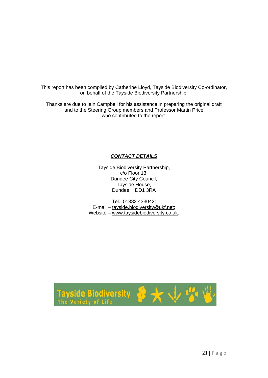This report has been compiled by Catherine Lloyd, Tayside Biodiversity Co-ordinator, on behalf of the Tayside Biodiversity Partnership.

Thanks are due to Iain Campbell for his assistance in preparing the original draft and to the Steering Group members and Professor Martin Price who contributed to the report.

### *CONTACT DETAILS*

Tayside Biodiversity Partnership, c/o Floor 13, Dundee City Council, Tayside House, Dundee DD1 3RA

Tel. 01382 433042; E-mail – [tayside.biodiversity@ukf.net](mailto:tayside.biodiversity@ukf.net); Website – [www.taysidebiodiversity.co.uk](http://www.taysidebiodiversity.co.uk/).

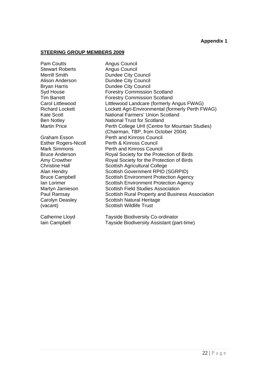**Appendix 1** 

#### **STEERING GROUP MEMBERS 2009**

Pam Coutts **Angus Council** Stewart Roberts **Angus Council** 

Merrill Smith Dundee City Council Alison Anderson **Dundee City Council** Bryan Harris **Dundee City Council** Syd House **Forestry Commission Scotland**<br>
Forestry Commission Scotland<br>
Forestry Commission Scotland **Forestry Commission Scotland** Carol Littlewood Littlewood Landcare (formerly Angus FWAG) Richard Lockett Lockett Agri-Environmental (formerly Perth FWAG) Kate Scott National Farmers' Union Scotland Ben Notley National Trust for Scotland Martin Price **Perth College UHI (Centre for Mountain Studies)**  (Chairman, TBP, from October 2004) Graham Esson Perth and Kinross Council Esther Rogers-Nicoll Perth & Kinross Council Mark Simmons Perth and Kinross Council Bruce Anderson Royal Society for the Protection of Birds Amy Crowther **Royal Society for the Protection of Birds** Christine Hall Scottish Agricultural College Alan Hendry Scottish Government RPID (SGRPID) Bruce Campbell Scottish Environment Protection Agency Ian Lorimer Scottish Environment Protection Agency Martyn Jamieson Scottish Field Studies Association Paul Ramsay Scottish Rural Property and Business Association Carolyn Deasley Scottish Natural Heritage (vacant) Scottish Wildlife Trust

Catherine Lloyd Tayside Biodiversity Co-ordinator Iain Campbell Tayside Biodiversity Assistant (part-time)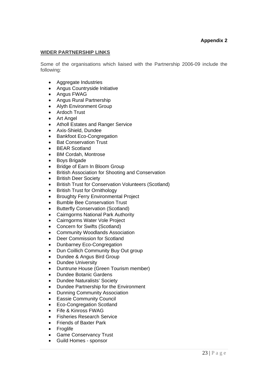#### **Appendix 2**

#### **WIDER PARTNERSHIP LINKS**

Some of the organisations which liaised with the Partnership 2006-09 include the following:

- Aggregate Industries
- Angus Countryside Initiative
- Angus FWAG
- Angus Rural Partnership
- Alyth Environment Group
- Ardoch Trust
- Art Angel
- Atholl Estates and Ranger Service
- Axis-Shield, Dundee
- Bankfoot Eco-Congregation
- **Bat Conservation Trust**
- **BEAR Scotland**
- BM Cordah, Montrose
- Boys Brigade
- Bridge of Earn In Bloom Group
- British Association for Shooting and Conservation
- British Deer Society
- British Trust for Conservation Volunteers (Scotland)
- **British Trust for Ornithology**
- Broughty Ferry Environmental Project
- Bumble Bee Conservation Trust
- Butterfly Conservation (Scotland)
- Cairngorms National Park Authority
- Cairngorms Water Vole Project
- Concern for Swifts (Scotland)
- Community Woodlands Association
- Deer Commission for Scotland
- Dunbarney Eco-Congregation
- Dun Coillich Community Buy Out group
- Dundee & Angus Bird Group
- Dundee University
- Duntrune House (Green Tourism member)
- Dundee Botanic Gardens
- Dundee Naturalists' Society
- Dundee Partnership for the Environment
- Dunning Community Association
- **Eassie Community Council**
- Eco-Congregation Scotland
- Fife & Kinross FWAG
- Fisheries Research Service
- Friends of Baxter Park
- **Froglife**
- Game Conservancy Trust
- Guild Homes sponsor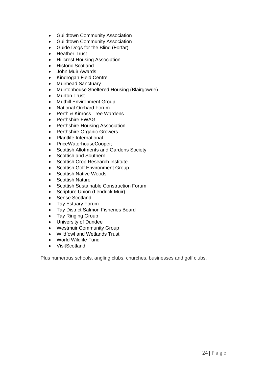- Guildtown Community Association
- Guildtown Community Association
- Guide Dogs for the Blind (Forfar)
- Heather Trust
- Hillcrest Housing Association
- Historic Scotland
- John Muir Awards
- Kindrogan Field Centre
- Muirhead Sanctuary
- Muirtonhouse Sheltered Housing (Blairgowrie)
- **Murton Trust**
- Muthill Environment Group
- National Orchard Forum
- Perth & Kinross Tree Wardens
- Perthshire FWAG
- Perthshire Housing Association
- Perthshire Organic Growers
- Plantlife International
- PriceWaterhouseCooper;
- Scottish Allotments and Gardens Society
- Scottish and Southern
- Scottish Crop Research Institute
- Scottish Golf Environment Group
- Scottish Native Woods
- Scottish Nature
- Scottish Sustainable Construction Forum
- Scripture Union (Lendrick Muir)
- Sense Scotland
- Tay Estuary Forum
- Tay District Salmon Fisheries Board
- Tay Ringing Group
- University of Dundee
- Westmuir Community Group
- Wildfowl and Wetlands Trust
- World Wildlife Fund
- VisitScotland

Plus numerous schools, angling clubs, churches, businesses and golf clubs.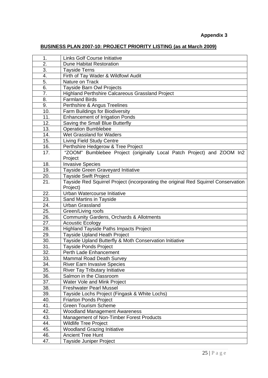## **BUSINESS PLAN 2007-10: PROJECT PRIORITY LISTING (as at March 2009)**

| 1.                | <b>Links Golf Course Initiative</b>                                                |
|-------------------|------------------------------------------------------------------------------------|
| 2.                | <b>Dune Habitat Restoration</b>                                                    |
| 3.                | <b>Tayside Terns</b>                                                               |
| 4.                | Firth of Tay Wader & Wildfowl Audit                                                |
| 5.                | Nature on Track                                                                    |
| $\overline{6}$ .  | Tayside Barn Owl Projects                                                          |
| 7.                | Highland Perthshire Calcareous Grassland Project                                   |
| 8.                | <b>Farmland Birds</b>                                                              |
| 9.                | Perthshire & Angus Treelines                                                       |
| 10.               | Farm Buildings for Biodiversity                                                    |
| 11.               | <b>Enhancement of Irrigation Ponds</b>                                             |
| 12.               | Saving the Small Blue Butterfly                                                    |
| 13.               | Operation Bumblebee                                                                |
| 14.               | Wet Grassland for Waders                                                           |
| 15.               | <b>Living Field Study Centre</b>                                                   |
| 16.               | Perthshire Hedgerow & Tree Project                                                 |
| 17.               | "ZOOM" Bumblebee Project (originally Local Patch Project) and ZOOM In2             |
|                   | Project                                                                            |
| 18.               | <b>Invasive Species</b>                                                            |
| 19.               | Tayside Green Graveyard Initiative                                                 |
| 20.               | <b>Tayside Swift Project</b>                                                       |
| $\overline{21}$ . | Tayside Red Squirrel Project (incorporating the original Red Squirrel Conservation |
|                   | Project)                                                                           |
| 22.               | Urban Watercourse Initiative                                                       |
| 23.               | Sand Martins in Tayside                                                            |
| 24.               | <b>Urban Grassland</b>                                                             |
| 25.               | Green/Living roofs                                                                 |
| 26.               | <b>Community Gardens, Orchards &amp; Allotments</b>                                |
| 27.               | <b>Acoustic Ecology</b>                                                            |
| 28.               | <b>Highland Tayside Paths Impacts Project</b>                                      |
| 29.               | Tayside Upland Heath Project                                                       |
| 30.               | Tayside Upland Butterfly & Moth Conservation Initiative                            |
| 31.               | <b>Tayside Ponds Project</b>                                                       |
| 32.               | Perth Lade Enhancement                                                             |
| 33.               | <b>Mammal Road Death Survey</b>                                                    |
| 34.               | <b>River Earn Invasive Species</b>                                                 |
| 35.               | <b>River Tay Tributary Initiative</b>                                              |
| 36.               | Salmon in the Classroom                                                            |
| 37.               | Water Vole and Mink Project                                                        |
| 38.               | <b>Freshwater Pearl Mussel</b>                                                     |
| 39.               | Tayside Lochs Project (Fingask & White Lochs)                                      |
| 40.               | <b>Friarton Ponds Project</b>                                                      |
| 41.               | <b>Green Tourism Scheme</b>                                                        |
| 42.               | <b>Woodland Management Awareness</b>                                               |
| 43.               | Management of Non-Timber Forest Products                                           |
| 44.               | <b>Wildlife Tree Project</b>                                                       |
| 45.               | <b>Woodland Grazing Initiative</b>                                                 |
| 46.               | <b>Ancient Tree Hunt</b>                                                           |
| 47.               | <b>Tayside Juniper Project</b>                                                     |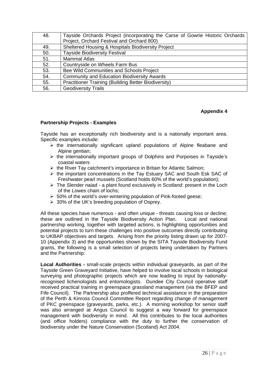| 48. | Tayside Orchards Project (incorporating the Carse of Gowrie Historic Orchards |
|-----|-------------------------------------------------------------------------------|
|     | Project, Orchard Festival and Orchard 800)                                    |
| 49. | Sheltered Housing & Hospitals Biodiversity Project                            |
| 50. | <b>Tayside Biodiversity Festival</b>                                          |
| 51. | <b>Mammal Atlas</b>                                                           |
| 52. | Countryside on Wheels Farm Bus                                                |
| 53. | Bee Wild Communities and Schools Project                                      |
| 54. | <b>Community and Education Biodiversity Awards</b>                            |
| 55. | Practitioner Training (Building Better Biodiversity)                          |
| 56. | <b>Geodiversity Trails</b>                                                    |

#### **Appendix 4**

#### **Partnership Projects - Examples**

Tayside has an exceptionally rich biodiversity and is a nationally important area. Specific examples include:

- $\triangleright$  the internationally significant upland populations of Alpine fleabane and Alpine gentian:
- $\triangleright$  the internationally important groups of Dolphins and Porpoises in Tayside's coastal waters
- $\triangleright$  the River Tay catchment's importance in Britain for Atlantic Salmon;
- $\triangleright$  the important concentrations in the Tay Estuary SAC and South Esk SAC of Freshwater pearl mussels (Scotland holds 60% of the world's population);
- $\triangleright$  The Slender naiad a plant found exclusively in Scotland: present in the Loch of the Lowes chain of lochs;
- $\geq 50\%$  of the world's over-wintering population of Pink-footed geese;
- $\geq 30\%$  of the UK's breeding population of Osprey.

All these species have numerous - and often unique - threats causing loss or decline; these are outlined in the Tayside Biodiversity Action Plan. Local and national partnership working, together with targeted actions, is highlighting opportunities and potential projects to turn these challenges into positive outcomes directly contributing to UKBAP objectives and targets. Arising from the priority listing drawn up for 2007- 10 (Appendix 3) and the opportunities shown by the SITA Tayside Biodiversity Fund grants, the following is a small selection of projects being undertaken by Partners and the Partnership:

**Local Authorities -** small-scale projects within individual graveyards, as part of the Tayside Green Graveyard Initiative, have helped to involve local schools in biological surveying and photographic projects which are now leading to input by nationallyrecognised lichenologists and entomologists. Dundee City Council operative staff received practical training in greenspace grassland management (via the BFEP and Fife Council). The Partnership also proffered technical assistance in the preparation of the Perth & Kinross Council Committee Report regarding change of management of PKC greenspace (graveyards, parks, etc.). A morning workshop for senior staff was also arranged at Angus Council to suggest a way forward for greenspace management with biodiversity in mind. All this contributes to the local authorities (and office holders) compliance with the duty to further the conservation of biodiversity under the Nature Conservation (Scotland) Act 2004.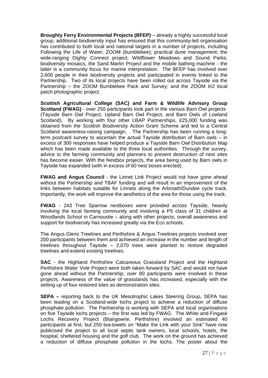**Broughty Ferry Environmental Projects (BFEP)** – already a highly successful local group, additional biodiversity input has ensured that this community-led organisation has contributed to both local and national targets in a number of projects, including Following the Life of Water; ZOOM (bumblebee); practical dune management; the wide-ranging Dighty Connect project; Wildflower Meadows and Sound Parks; biodiversity mosaics, the Sand Martin Project and the mobile bathing machine - the latter is a community focus for marine interpretation. The BFEP has involved over 2,600 people in their biodiversity projects and participated in events linked to the Partnership. Two of its local projects have been rolled out across Tayside via the Partnership – the ZOOM Bumblebee Pack and Survey; and the ZOOM In2 local patch photographic project.

**Scottish Agricultural College (SAC) and Farm & Wildlife Advisory Group Scotland (FWAG)** - over 250 participants took part in the various Barn Owl projects (Tayside Barn Owl Project, Upland Barn Owl Project, and Barn Owls of Lowland Scotland). By working with four other LBAP Partnerships, £25,000 funding was obtained from the Scottish Biodiversity Action Grant Scheme and led to a Central Scotland awareness-raising campaign. The Partnership has been running a longterm postcard survey to ascertain the actual Tayside distribution of Barn owls – in excess of 300 responses have helped produce a Tayside Barn Owl Distribution Map which has been made available to the three local authorities. Through the survey, advice to the farming community and planners to prevent destruction of nest sites has become easier. With the Nestbox projects, the area being used by Barn owls in Tayside has expanded (with in excess of 60 nest boxes erected).

**FWAG and Angus Council** - the Linnet Link Project would not have gone ahead without the Partnership and TBAF funding and will result in an improvement of the links between habitats suitable for Linnets along the Arbroath/Dundee cycle track. Importantly, the work will improve the aesthetics of the area for those using the track.

**FWAG** - 243 Tree Sparrow nestboxes were provided across Tayside, heavily involving the local farming community and involving a P5 class of 31 children at Woodlands School in Carnoustie – along with other projects, overall awareness and support for biodiversity has increased greatly via the Eco schools.

The Angus Glens Treelines and Perthshire & Angus Treelines projects involved over 200 participants between them and achieved an increase in the number and length of treelines throughout Tayside – 2,070 trees were planted to restore degraded treelines and extend existing treelines.

**SAC** - the Highland Perthshire Calcareous Grassland Project and the Highland Perthshire Water Vole Project were both taken forward by SAC and would not have gone ahead without the Partnership; over 80 participants were involved in these projects. Awareness of the value of grasslands has increased, especially with the setting up of four restored sites as demonstration sites.

**SEPA –** reporting back to the UK Mesotrophic Lakes Steering Group, SEPA has been leading on a Scotland-wide lochs project to achieve a reduction of diffuse phosphate pollution. The Partnership is working with SEPA and local organisations on five Tayside lochs projects – the first was led by FWAG. The White and Fingask Lochs Recovery Project (Blairgowrie, Perthshire) involved an estimated 40 participants at first, but 250 tea-towels on "Make the Link with your Sink" have now publicised the project to all local septic tank owners, local schools, hotels, the hospital, sheltered housing and the golf club. The work on the ground has achieved a reduction of diffuse phosphate pollution in the lochs. The poster about the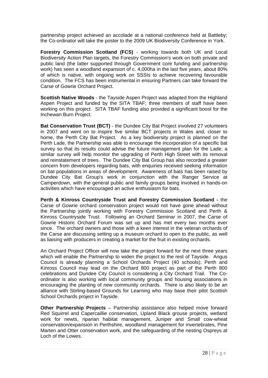partnership project achieved an accolade at a national conference held at Battleby; the Co-ordinator will take the poster to the 2009 UK Biodiversity Conference in York.

**Forestry Commission Scotland (FCS)** - working towards both UK and Local Biodiversity Action Plan targets, the Forestry Commission's work on both private and public land (the latter supported through Government core funding and partnership work) has seen a woodland expansion of c. 4,000ha in the last five years, about 80% of which is native, with ongoing work on SSSIs to achieve recovering favourable condition. The FCS has been instrumental in ensuring Partners can take forward the Carse of Gowrie Orchard Project.

**Scottish Native Woods** - the Tayside Aspen Project was adapted from the Highland Aspen Project and funded by the SITA TBAF; three members of staff have been working on this project. SITA TBAF funding also provided a significant boost for the Inchewan Burn Project.

**Bat Conservation Trust (BCT)** - the Dundee City Bat Project involved 27 volunteers in 2007 and went on to inspire five similar BCT projects in Wales and, closer to home, the Perth City Bat Project. As a key biodiversity project is planned on the Perth Lade, the Partnership was able to encourage the incorporation of a specific bat survey so that its results could advise the future management plan for the Lade; a similar survey will help monitor the upgrading of Perth High Street with its removal and reinstatement of trees. The Dundee City Bat Group has also recorded a greater concern from developers regarding bats, with enquiries received seeking information on bat populations in areas of development. Awareness of bats has been raised by Dundee City Bat Group's work in conjunction with the Ranger Service at Camperdown, with the general public and family groups being involved in hands-on activities which have encouraged an active enthusiasm for bats.

**Perth & Kinross Countryside Trust and Forestry Commission Scotland -** the Carse of Gowrie orchard conservation project would not have gone ahead without the Partnership jointly working with Forestry Commission Scotland and Perth & Kinross Countryside Trust. Following an Orchard Seminar in 2007, the Carse of Gowrie Historic Orchard Forum was set up and has met every two months ever since. The orchard owners and those with a keen interest in the veteran orchards of the Carse are discussing setting up a museum orchard to open to the public, as well as liaising with producers in creating a market for the fruit in existing orchards.

An Orchard Project Officer will now take the project forward for the next three years which will enable the Partnership to widen the project to the rest of Tayside. Angus Council is already planning a School Orchards Project (40 schools); Perth and Kinross Council may lead on the Orchard 800 project as part of the Perth 800 celebrations and Dundee City Council is considering a City Orchard Trail. The Coordinator is also working with local community groups and housing associations in encouraging the planting of new community orchards. There is also likely to be an alliance with Stirling-based Grounds for Learning who may base their pilot Scottish School Orchards project in Tayside.

**Other Partnership Projects** – Partnership assistance also helped move forward Red Squirrel and Capercaillie conservation, Upland Black grouse projects, wetland work for newts, riparian habitat management, Juniper and Small cow-wheat conservation/expansion in Perthshire, woodland management for invertebrates, Pine Marten and Otter conservation work, and the safeguarding of the nesting Ospreys at Loch of the Lowes.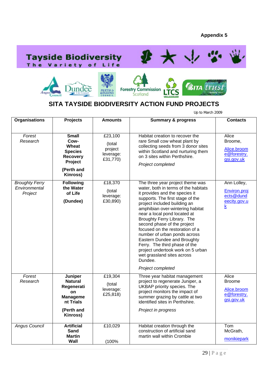





# **SITA TAYSIDE BIODIVERSITY ACTION FUND PROJECTS**

Up to March 2009

| <b>Organisations</b>                              | <b>Projects</b>                                                                                         | <b>Amounts</b>                                        | <b>Summary &amp; progress</b>                                                                                                                                                                                                                                                                                                                                                                                                                                                                                                                          | <b>Contacts</b>                                                      |
|---------------------------------------------------|---------------------------------------------------------------------------------------------------------|-------------------------------------------------------|--------------------------------------------------------------------------------------------------------------------------------------------------------------------------------------------------------------------------------------------------------------------------------------------------------------------------------------------------------------------------------------------------------------------------------------------------------------------------------------------------------------------------------------------------------|----------------------------------------------------------------------|
| Forest<br>Research                                | <b>Small</b><br>Cow-<br>Wheat<br><b>Species</b><br>Recovery<br>Project<br>(Perth and<br>Kinross)        | £23,100<br>(total<br>project<br>leverage:<br>£31,770) | Habitat creation to recover the<br>rare Small cow wheat plant by<br>collecting seeds from 3 donor sites<br>within Scotland and nurturing them<br>on 3 sites within Perthshire.<br>Project completed                                                                                                                                                                                                                                                                                                                                                    | Alice<br>Broome,<br>Alice.broom<br>e@forestry.<br>gsi.gov.uk         |
| <b>Broughty Ferry</b><br>Environmental<br>Project | <b>Following</b><br>the Water<br>of Life<br>(Dundee)                                                    | £18,370<br>(total<br>leverage:<br>£30,890)            | The three year project theme was<br>water, both in terms of the habitats<br>it provides and the species it<br>supports. The first stage of the<br>project included building an<br>amphibian over-wintering habitat<br>near a local pond located at<br>Broughty Ferry Library. The<br>second phase of the project<br>focused on the restoration of a<br>number of urban ponds across<br>Eastern Dundee and Broughty<br>Ferry. The third phase of the<br>project undertook work on 5 urban<br>wet grassland sites across<br>Dundee.<br>Project completed | Ann Lolley,<br>Environ.proj<br>ects@dund<br>eecity.gov.u<br><u>k</u> |
| Forest<br>Research                                | Juniper<br><b>Natural</b><br>Regenerati<br>on<br><b>Manageme</b><br>nt Trials<br>(Perth and<br>Kinross) | £19,304<br>(total<br>leverage:<br>£25,818)            | Three year habitat management<br>project to regenerate Juniper, a<br>UKBAP priority species. The<br>project monitors the impact of<br>summer grazing by cattle at two<br>identified sites in Perthshire.<br>Project in progress                                                                                                                                                                                                                                                                                                                        | Alice<br><b>Broome</b><br>Alice.broom<br>e@forestry.<br>gsi.gov.uk   |
| <b>Angus Council</b>                              | <b>Artificial</b><br><b>Sand</b><br><b>Martin</b><br>Wall                                               | £10,029<br>(100%                                      | Habitat creation through the<br>construction of artificial sand<br>martin wall within Crombie                                                                                                                                                                                                                                                                                                                                                                                                                                                          | Tom<br>McGrath,<br>monikiepark                                       |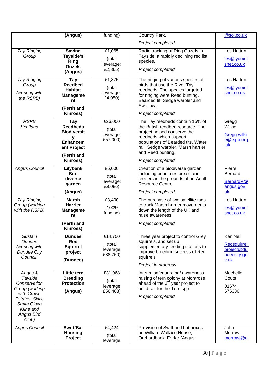|                                                                                                                                                      | (Angus)                                                                                                              | funding)                                   | Country Park.                                                                                                                                                                                                                                       | @sol.co.uk                                                    |
|------------------------------------------------------------------------------------------------------------------------------------------------------|----------------------------------------------------------------------------------------------------------------------|--------------------------------------------|-----------------------------------------------------------------------------------------------------------------------------------------------------------------------------------------------------------------------------------------------------|---------------------------------------------------------------|
|                                                                                                                                                      |                                                                                                                      |                                            | Project completed                                                                                                                                                                                                                                   |                                                               |
| Tay Ringing<br>Group                                                                                                                                 | <b>Saving</b><br>Tayside's<br>Ring<br><b>Ouzels</b><br>(Angus)                                                       | £1,065<br>(total<br>leverage:<br>£2,865)   | Radio tracking of Ring Ouzels in<br>Tayside, a rapidly declining red list<br>species.<br>Project completed                                                                                                                                          | Les Hatton<br>les@lydox.f<br>snet.co.uk                       |
| <b>Tay Ringing</b><br>Group<br>(working with<br>the RSPB)                                                                                            | <b>Tay</b><br><b>Reedbed</b><br><b>Habitat</b><br><b>Manageme</b><br>nt<br>(Perth and<br>Kinross)                    | £1,875<br>(total<br>leverage:<br>£4,050)   | The ringing of various species of<br>birds that use the River Tay<br>reedbeds. The species targeted<br>for ringing were Reed bunting,<br>Bearded tit, Sedge warbler and<br>Swallow.<br>Project completed                                            | Les Hatton<br>les@lydox.f<br>snet.co.uk                       |
| <b>RSPB</b><br>Scotland                                                                                                                              | <b>Tay</b><br><b>Reedbeds</b><br><b>Biodiversit</b><br>у<br><b>Enhancem</b><br>ent Project<br>(Perth and<br>Kinross) | £26,000<br>(total<br>leverage:<br>£57,000) | The Tay reedbeds contain 15% of<br>the British reedbed resource. The<br>project helped conserve the<br>reedbeds which support<br>populations of Bearded tits, Water<br>rail, Sedge warbler, Marsh harrier<br>and Reed bunting.<br>Project completed | Gregg<br>Wilkie<br>Gregg.wilki<br>e@rspb.org<br>.uk           |
| <b>Angus Council</b>                                                                                                                                 | Lilybank<br>Bio-<br>diverse<br>garden<br>(Angus)                                                                     | £6,000<br>(total<br>leverage:<br>£9,086)   | Creation of a biodiverse garden,<br>including pond, nestboxes and<br>feeders in the grounds of an Adult<br>Resource Centre.<br>Project completed                                                                                                    | Pierre<br><b>Bernard</b><br>BernardP@<br>angus.gov.<br>uk     |
| Tay Ringing<br>Group (working<br>with the RSPB)                                                                                                      | <b>Marsh</b><br><b>Harrier</b><br><b>Manageme</b><br>nt<br>(Perth and<br>Kinross)                                    | £3,400<br>(100%<br>funding)                | The purchase of two satellite tags<br>to track Marsh harrier movements<br>down the length of the UK and<br>raise awareness<br>Project completed                                                                                                     | Les Hatton<br>les@lydox.f<br>snet.co.uk                       |
| <b>Sustain</b><br>Dundee<br>(working with<br><b>Dundee City</b><br>Council)                                                                          | <b>Dundee</b><br><b>Red</b><br><b>Squirrel</b><br>project<br>(Dundee)                                                | £14,750<br>(total<br>leverage<br>£38,750)  | Three year project to control Grey<br>squirrels, and set up<br>supplementary feeding stations to<br>improve breeding success of Red<br>squirrels<br>Project in progress                                                                             | Ken Neil<br>Redsquirrel.<br>project@du<br>ndeecity.go<br>v.uk |
| Angus &<br><b>Tayside</b><br>Conservation<br>Group (working<br>with Crown<br>Estates, SNH,<br>Smith Glaxo<br>Kline and<br><b>Angus Bird</b><br>Club) | Little tern<br><b>Breeding</b><br><b>Protection</b><br>(Angus)                                                       | £31,968<br>(total<br>leverage<br>£56,468)  | Interim safeguarding/awareness-<br>raising of tern colony at Montrose<br>ahead of the 3 <sup>rd</sup> year project to<br>build raft for the Tern spp.<br>Project completed                                                                          | Mechelle<br>Couts<br>01674<br>676336                          |
| <b>Angus Council</b>                                                                                                                                 | Swift/Bat<br><b>Housing</b><br>Project                                                                               | £4,424<br>(total<br>leverage               | Provision of Swift and bat boxes<br>on William Wallace House,<br>Orchardbank, Forfar (Angus                                                                                                                                                         | John<br>Morrow<br>morrowj@a                                   |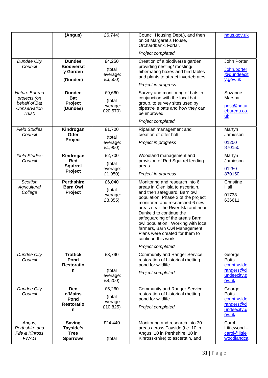|                                                                          | (Angus)                                                      | £6,744)                                   | Council Housing Dept.), and then<br>on St Margaret's House,<br>Orchardbank, Forfar.<br>Project completed                                                                                                                                                                                                                                                                                                                           | ngus.gov.uk                                                             |
|--------------------------------------------------------------------------|--------------------------------------------------------------|-------------------------------------------|------------------------------------------------------------------------------------------------------------------------------------------------------------------------------------------------------------------------------------------------------------------------------------------------------------------------------------------------------------------------------------------------------------------------------------|-------------------------------------------------------------------------|
| <b>Dundee City</b><br>Council                                            | <b>Dundee</b><br><b>Biodiversit</b><br>y Garden<br>(Dundee)  | £4,250<br>(total<br>leverage:<br>£6,500)  | Creation of a biodiverse garden<br>providing nesting/ roosting/<br>hibernating boxes and bird tables<br>and plants to attract invertebrates.<br>Project in progress                                                                                                                                                                                                                                                                | John Porter<br>John.porter<br>@dundeecit<br>y.gov.uk                    |
| Nature Bureau<br>projects (on<br>behalf of Bat<br>Conservation<br>Trust) | <b>Dundee</b><br><b>Bat</b><br>Project<br>(Dundee)           | £9,660<br>(total<br>leverage:<br>£20,570) | Survey and monitoring of bats in<br>conjunction with the local bat<br>group, to survey sites used by<br>pipestrelle bats and how they can<br>be improved.<br>Project completed                                                                                                                                                                                                                                                     | Suzanne<br>Marshall<br>post@natur<br>ebureau.co.<br>uk                  |
| <b>Field Studies</b><br>Council                                          | Kindrogan<br><b>Otter</b><br>Project                         | £1,700<br>(total<br>leverage:<br>£1,950)  | Riparian management and<br>creation of otter holt<br>Project in progress                                                                                                                                                                                                                                                                                                                                                           | Martyn<br>Jamieson<br>01250<br>870150                                   |
| <b>Field Studies</b><br>Council                                          | Kindrogan<br><b>Red</b><br><b>Squirrel</b><br>Project        | £2,700<br>(total<br>leverage:<br>£1,950)  | Woodland management and<br>provision of Red Squirrel feeding<br>areas<br>Project in progress                                                                                                                                                                                                                                                                                                                                       | Martyn<br>Jamieson<br>01250<br>870150                                   |
| <b>Scottish</b><br>Agricultural<br>College                               | <b>Perthshire</b><br><b>Barn Owl</b><br>Project              | £6,040<br>(total<br>leverage:<br>£8,355)  | Monitoring and research into 6<br>areas in Glen Isla to ascertain,<br>and then safeguard, Barn owl<br>population. Phase 2 of the project<br>monitored and researched 6 new<br>areas near the River Isla and near<br>Dunkeld to continue the<br>safeguarding of the area's Barn<br>owl population. Working with local<br>farmers, Barn Owl Management<br>Plans were created for them to<br>continue this work.<br>Project completed | Christine<br>Hall<br>01738<br>636611                                    |
| <b>Dundee City</b><br>Council                                            | <b>Trottick</b><br>Pond<br><b>Restoratio</b><br>n            | £3,790<br>(total<br>leverage:<br>£8,200)  | <b>Community and Ranger Service</b><br>restoration of historical rhetting<br>pond for wildlife<br>Project completed                                                                                                                                                                                                                                                                                                                | George<br>Potts $-$<br>countryside<br>rangers@d<br>undeecity.g<br>ov.uk |
| <b>Dundee City</b><br>Council                                            | Den<br>o'Mains<br>Pond<br><b>Restoratio</b><br>n             | £5,260<br>(total<br>leverage:<br>£10,825) | <b>Community and Ranger Service</b><br>restoration of historical rhetting<br>pond for wildlife<br>Project completed                                                                                                                                                                                                                                                                                                                | George<br>Potts $-$<br>countryside<br>rangers@d<br>undeecity.g<br>ov.uk |
| Angus,<br>Perthshire and<br>Fife & Kinross<br><b>FWAG</b>                | <b>Saving</b><br>Tayside's<br><b>Tree</b><br><b>Sparrows</b> | £24,440<br>(total                         | Monitoring and research into 30<br>areas across Tayside (i.e. 10 in<br>Angus, 10 in Perthshire, 10 in<br>Kinross-shire) to ascertain, and                                                                                                                                                                                                                                                                                          | Carol<br>Littlewood-<br>carol@little<br>woodlandca                      |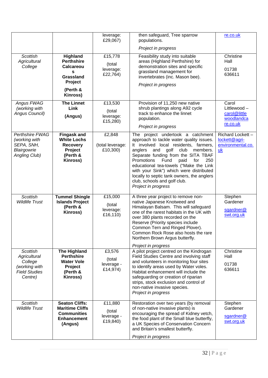|                                                                                                |                                                                                                        | leverage:<br>£29,067)                       | then safeguard, Tree sparrow<br>populations.                                                                                                                                                                                                                                                                                                                                                                                                      | re.co.uk                                                       |
|------------------------------------------------------------------------------------------------|--------------------------------------------------------------------------------------------------------|---------------------------------------------|---------------------------------------------------------------------------------------------------------------------------------------------------------------------------------------------------------------------------------------------------------------------------------------------------------------------------------------------------------------------------------------------------------------------------------------------------|----------------------------------------------------------------|
|                                                                                                |                                                                                                        |                                             | Project in progress                                                                                                                                                                                                                                                                                                                                                                                                                               |                                                                |
| <b>Scottish</b><br>Agricultural<br>College                                                     | Highland<br><b>Perthshire</b><br><b>Calcareou</b><br>s<br>Grassland<br>Project<br>(Perth &<br>Kinross) | £15,778<br>(total<br>leverage:<br>£22,764)  | Feasibility study into suitable<br>areas (Highland Perthshire) for<br>demonstration sites and specific<br>grassland management for<br>invertebrates (inc. Mason bee).<br>Project in progress                                                                                                                                                                                                                                                      | Christine<br>Hall<br>01738<br>636611                           |
| Angus FWAG<br>(working with<br>Angus Council)                                                  | <b>The Linnet</b><br>Link<br>(Angus)                                                                   | £13,530<br>(total<br>leverage:<br>£15,280)  | Provision of 11,250 new native<br>shrub plantings along A92 cycle<br>track to enhance the linnet<br>population.<br>Project in progress                                                                                                                                                                                                                                                                                                            | Carol<br>Littlewood-<br>carol@little<br>woodlandca<br>re.co.uk |
| <b>Perthshire FWAG</b><br>(working with<br>SEPA, SNH,<br>Blairgowrie<br>Angling Club)          | <b>Fingask and</b><br><b>White Lochs</b><br><b>Recovery</b><br>Project<br>(Perth &<br>Kinross)         | £2,848<br>(total leverage:<br>£10,300)      | The project undertook a catchment<br>approach to tackle water quality issues.<br>It involved local residents, farmers,<br>anglers<br>and<br>golf<br>club<br>members.<br>Separate funding from the SITA TBAF<br>Promotions<br>Fund<br>paid<br>for<br>250<br>educational tea-towels ("Make the Link<br>with your Sink") which were distributed<br>locally to septic tank owners, the anglers<br>club, schools and golf club.<br>Project in progress | Richard Lockett-<br>lockett@agri-<br>environmental.co.<br>uk   |
| <b>Scottish</b><br><b>Wildlife Trust</b>                                                       | <b>Tummel Shingle</b><br><b>Islands Project</b><br>(Perth &<br>Kinross)                                | £15,000<br>(total<br>leverage:<br>£16,110)  | A three year project to remove non-<br>native Japanese Knotweed and<br>Himalayan Balsam. This will safeguard<br>one of the rarest habitats in the UK with<br>over 380 plants recorded on the<br>Reserve (Priority species include<br>Common Tern and Ringed Plover).<br>Common Rock Rose also hosts the rare<br>Northern Brown Argus butterfly.<br>Project in progress                                                                            | Stephen<br>Gardener<br>sgardner@<br>swt.org.uk                 |
| <b>Scottish</b><br>Agricultural<br>College<br>(working with<br><b>Field Studies</b><br>Centre) | <b>The Highland</b><br><b>Perthshire</b><br><b>Water Vole</b><br>Project<br>(Perth &<br>Kinross)       | £3,576<br>(total<br>leverage -<br>£14,974)  | A pilot project centred on the Kindrogan<br>Field Studies Centre and involving staff<br>and volunteers in monitoring four sites<br>to identify areas used by Water voles.<br>Habitat enhancement will include the<br>safeguarding or creation of riparian<br>strips, stock exclusion and control of<br>non-native invasive species.<br>Project in progress                                                                                        | Christine<br>Hall<br>01738<br>636611                           |
| <b>Scottish</b><br><b>Wildlife Trust</b>                                                       | <b>Seaton Cliffs:</b><br><b>Maritime Cliffs</b><br><b>Communities</b><br><b>Enhancement</b><br>(Angus) | £11,880<br>(total<br>leverage -<br>£19,840) | Restoration over two years (by removal<br>of non-native invasive plants) is<br>encouraging the spread of Kidney vetch,<br>the food plant of the Small blue butterfly,<br>a UK Species of Conservation Concern<br>and Britain's smallest butterfly.<br>Project in progress                                                                                                                                                                         | Stephen<br>Gardener<br>sgardner@<br>swt.org.uk                 |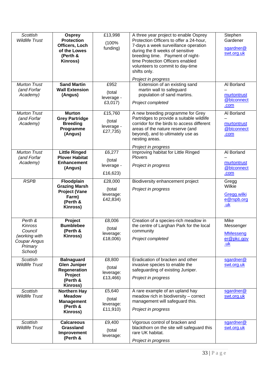| <b>Scottish</b><br><b>Wildlife Trust</b>                                                    | <b>Osprey</b><br><b>Protection</b><br>Officers, Loch<br>of the Lowes<br>(Perth &<br>Kinross)       | £13,998<br>(100%<br>funding)                           | A three year project to enable Osprey<br>Protection Officers to offer a 24-hour,<br>7-days a week surveillance operation<br>during the 8 weeks of sensitive<br>breeding time. Payment of night-<br>time Protection Officers enabled<br>volunteers to commit to day-time<br>shifts only.<br>Project in progress | Stephen<br>Gardener<br>sgardner@<br>swt.org.uk            |
|---------------------------------------------------------------------------------------------|----------------------------------------------------------------------------------------------------|--------------------------------------------------------|----------------------------------------------------------------------------------------------------------------------------------------------------------------------------------------------------------------------------------------------------------------------------------------------------------------|-----------------------------------------------------------|
| <b>Murton Trust</b><br>(and Forfar<br>Academy)                                              | <b>Sand Martin</b><br><b>Wall Extension</b><br>(Angus)                                             | £952<br>(total<br>leverage -<br>£3,017)                | Extension of an existing sand<br>martin wall to safeguard<br>population of sand martins.<br>Project completed                                                                                                                                                                                                  | Al Borland<br>murtontrust<br>@btconnect<br>.com           |
| <b>Murton Trust</b><br>(and Forfar<br>Academy)                                              | <b>Murton</b><br><b>Grey Partridge</b><br><b>Breeding</b><br>Programme<br>(Angus)                  | £15,760<br>(total<br>leverage -<br>£27,735)            | A new breeding programme for Grey<br>Partridges to provide a suitable wildlife<br>corridor for the birds to access different<br>areas of the nature reserve (and<br>beyond), and to ultimately use as<br>nesting areas.<br>Project in progress                                                                 | Al Borland<br>murtontrust<br>@btconnect<br>.com           |
| <b>Murton Trust</b><br>(and Forfar<br>Academy)                                              | <b>Little Ringed</b><br><b>Plover Habitat</b><br><b>Enhancement</b><br>(Angus)                     | £6,277<br>(total<br>leverage -<br>£16,623)             | Improving habitat for Little Ringed<br><b>Plovers</b><br>Project in progress                                                                                                                                                                                                                                   | Al Borland<br>murtontrust<br>@btconnect<br>.com           |
| <b>RSPB</b>                                                                                 | Floodplain<br><b>Grazing Marsh</b><br><b>Project (Vane</b><br>Farm)<br>(Perth &<br>Kinross)        | £28,000<br>(total<br>leverage:<br>£42,834)             | Biodiversity enhancement project<br>Project in progress                                                                                                                                                                                                                                                        | Gregg<br>Wilkie<br>Gregg.wilki<br>e@rspb.org<br>.uk       |
| Perth &<br><b>Kinross</b><br>Council<br>(working with<br>Coupar Angus<br>Primary<br>School) | Project<br><b>Bumblebee</b><br>(Perth &<br>Kinross)                                                | £8,006<br>(total<br>leverage:<br>£18,006)              | Creation of a species-rich meadow in<br>the centre of Larghan Park for the local<br>community<br>Project completed                                                                                                                                                                                             | Mike<br>Messenger<br><b>MMesseng</b><br>er@pkc.gov<br>.uk |
| <b>Scottish</b><br><b>Wildlife Trust</b>                                                    | <b>Balnaguard</b><br><b>Glen Juniper</b><br>Regeneration<br>Project<br>(Perth &<br><b>Kinross)</b> | £8,800<br>(total<br>leverage:<br>£13,466)              | Eradication of bracken and other<br>invasive species to enable the<br>safeguarding of existing Juniper.<br>Project in progress                                                                                                                                                                                 | sgardner@<br>swt.org.uk                                   |
| <b>Scottish</b><br><b>Wildlife Trust</b>                                                    | <b>Northern Hay</b><br><b>Meadow</b><br><b>Management</b><br>(Perth &<br>Kinross)                  | $\overline{£5,}640$<br>(total<br>leverage:<br>£11,910) | A rare example of an upland hay<br>meadow rich in biodiversity - correct<br>management will safeguard this.<br>Project in progress                                                                                                                                                                             | sgardner@<br>swt.org.uk                                   |
| <b>Scottish</b><br><b>Wildlife Trust</b>                                                    | <b>Calcareous</b><br><b>Grassland</b><br>Improvement<br>(Perth &                                   | £9,400<br>(total<br>leverage:                          | Vigorous control of bracken and<br>blackthorn on the site will safeguard this<br>rare UK habitat.<br>Project in progress                                                                                                                                                                                       | sgardner@<br>swt.org.uk                                   |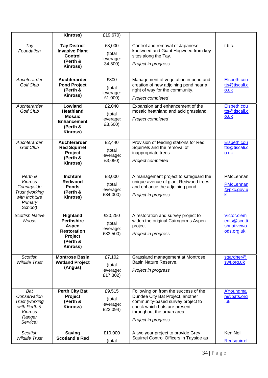|                                                                                               | Kinross)                                                                                        | £19,670)                                   |                                                                                                                                                                                                    |                                                         |
|-----------------------------------------------------------------------------------------------|-------------------------------------------------------------------------------------------------|--------------------------------------------|----------------------------------------------------------------------------------------------------------------------------------------------------------------------------------------------------|---------------------------------------------------------|
| Tay<br>Foundation                                                                             | <b>Tay District</b><br><b>Invasive Plant</b><br>Control<br>(Perth &<br>Kinross)                 | £3,000<br>(total<br>leverage:<br>34,500)   | Control and removal of Japanese<br>knotweed and Giant Hogweed from key<br>sites along the Tay.<br>Project in progress                                                                              | t.b.c.                                                  |
| Auchterarder<br><b>Golf Club</b>                                                              | Auchterarder<br><b>Pond Project</b><br>(Perth &<br>Kinross)                                     | £800<br>(total<br>leverage:<br>£1,000)     | Management of vegetation in pond and<br>creation of new adjoining pond near a<br>right of way for the community.<br>Project completed                                                              | Elspeth.cou<br>tts@tiscali.c<br>$0.$ uk                 |
| Auchterarder<br><b>Golf Club</b>                                                              | Lowland<br><b>Heathland</b><br><b>Mosaic</b><br><b>Enhancement</b><br>(Perth &<br>Kinross)      | £2,040<br>(total<br>leverage:<br>£3,600)   | Expansion and enhancement of the<br>mosaic heathland and acid grassland.<br>Project completed                                                                                                      | Elspeth.cou<br>tts@tiscali.c<br>o.uk                    |
| Auchterarder<br><b>Golf Club</b>                                                              | Auchterarder<br><b>Red Squirrel</b><br>Project<br>(Perth &<br>Kinross)                          | £2,440<br>(total<br>leverage:<br>£3,050)   | Provision of feeding stations for Red<br>Squirrels and the removal of<br>inappropriate trees.<br>Project completed                                                                                 | Elspeth.cou<br>tts@tiscali.c<br>o.uk                    |
| Perth &<br>Kinross<br>Countryside<br>Trust (working<br>with Inchture<br>Primary<br>School)    | <b>Inchture</b><br><b>Redwood</b><br><b>Ponds</b><br>(Perth &<br>Kinross)                       | £8,000<br>(total<br>leverage:<br>£34,000)  | A management project to safeguard the<br>unique avenue of giant Redwood trees<br>and enhance the adjoining pond.<br>Project in progress                                                            | PMcLennan<br><b>PMcLennan</b><br>@pkc.gov.u<br><u>k</u> |
| <b>Scottish Native</b><br>Woods                                                               | Highland<br><b>Perthshire</b><br>Aspen<br><b>Restoration</b><br>Project<br>(Perth &<br>Kinross) | £20,250<br>(total<br>leverage:<br>£33,500) | A restoration and survey project to<br>widen the original Cairngorms Aspen<br>project.<br>Project in progress                                                                                      | Victor.clem<br>ents@scotti<br>shnativewo<br>ods.org.uk  |
| <b>Scottish</b><br><b>Wildlife Trust</b>                                                      | <b>Montrose Basin</b><br><b>Wetland Project</b><br>(Angus)                                      | £7,102<br>(total<br>leverage:<br>£17,302)  | Grassland management at Montrose<br>Basin Nature Reserve.<br>Project in progress                                                                                                                   | sgardner@<br>swt.org.uk                                 |
| Bat<br>Conservation<br>Trust (working<br>with Perth &<br><b>Kinross</b><br>Ranger<br>Service) | <b>Perth City Bat</b><br>Project<br>(Perth &<br>Kinross)                                        | £9,515<br>(total<br>leverage:<br>£22,094)  | Following on from the success of the<br>Dundee City Bat Project, another<br>community-based survey project to<br>check which bats are present<br>throughout the urban area.<br>Project in progress | <b>AYoungma</b><br>n@bats.org<br><u>.uk</u>             |
| <b>Scottish</b><br><b>Wildlife Trust</b>                                                      | <b>Saving</b><br><b>Scotland's Red</b>                                                          | £10,000<br>(total                          | A two year project to provide Grey<br>Squirrel Control Officers in Tayside as                                                                                                                      | Ken Neil<br>Redsquirrel.                                |